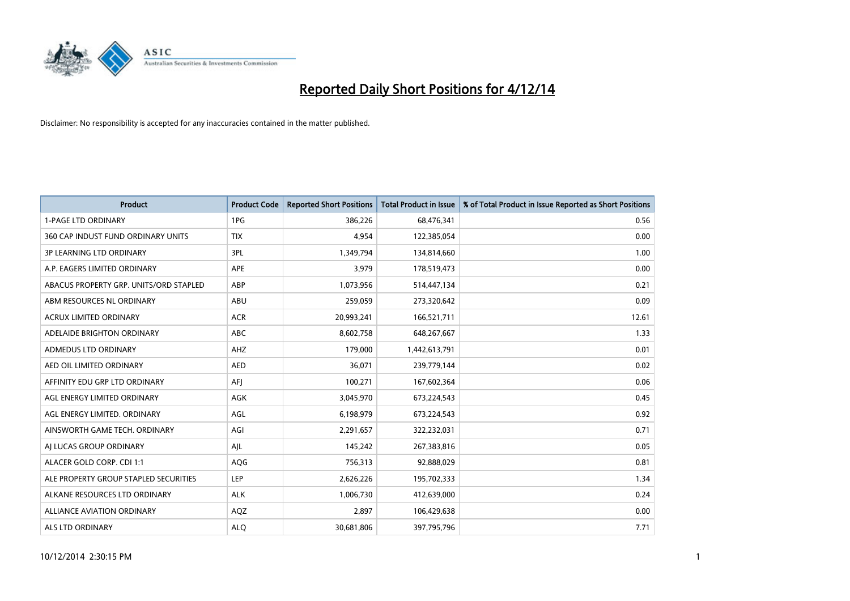

| <b>Product</b>                         | <b>Product Code</b> | <b>Reported Short Positions</b> | <b>Total Product in Issue</b> | % of Total Product in Issue Reported as Short Positions |
|----------------------------------------|---------------------|---------------------------------|-------------------------------|---------------------------------------------------------|
| <b>1-PAGE LTD ORDINARY</b>             | 1PG                 | 386,226                         | 68,476,341                    | 0.56                                                    |
| 360 CAP INDUST FUND ORDINARY UNITS     | <b>TIX</b>          | 4,954                           | 122,385,054                   | 0.00                                                    |
| <b>3P LEARNING LTD ORDINARY</b>        | 3PL                 | 1,349,794                       | 134,814,660                   | 1.00                                                    |
| A.P. EAGERS LIMITED ORDINARY           | APE                 | 3,979                           | 178,519,473                   | 0.00                                                    |
| ABACUS PROPERTY GRP. UNITS/ORD STAPLED | ABP                 | 1,073,956                       | 514,447,134                   | 0.21                                                    |
| ABM RESOURCES NL ORDINARY              | ABU                 | 259,059                         | 273,320,642                   | 0.09                                                    |
| <b>ACRUX LIMITED ORDINARY</b>          | <b>ACR</b>          | 20,993,241                      | 166,521,711                   | 12.61                                                   |
| ADELAIDE BRIGHTON ORDINARY             | <b>ABC</b>          | 8,602,758                       | 648,267,667                   | 1.33                                                    |
| ADMEDUS LTD ORDINARY                   | AHZ                 | 179,000                         | 1,442,613,791                 | 0.01                                                    |
| AED OIL LIMITED ORDINARY               | <b>AED</b>          | 36,071                          | 239,779,144                   | 0.02                                                    |
| AFFINITY EDU GRP LTD ORDINARY          | AFI                 | 100,271                         | 167,602,364                   | 0.06                                                    |
| AGL ENERGY LIMITED ORDINARY            | AGK                 | 3,045,970                       | 673,224,543                   | 0.45                                                    |
| AGL ENERGY LIMITED. ORDINARY           | AGL                 | 6,198,979                       | 673,224,543                   | 0.92                                                    |
| AINSWORTH GAME TECH. ORDINARY          | AGI                 | 2,291,657                       | 322,232,031                   | 0.71                                                    |
| AI LUCAS GROUP ORDINARY                | AJL                 | 145,242                         | 267,383,816                   | 0.05                                                    |
| ALACER GOLD CORP. CDI 1:1              | AQG                 | 756,313                         | 92,888,029                    | 0.81                                                    |
| ALE PROPERTY GROUP STAPLED SECURITIES  | LEP                 | 2,626,226                       | 195,702,333                   | 1.34                                                    |
| ALKANE RESOURCES LTD ORDINARY          | <b>ALK</b>          | 1,006,730                       | 412,639,000                   | 0.24                                                    |
| ALLIANCE AVIATION ORDINARY             | AQZ                 | 2,897                           | 106,429,638                   | 0.00                                                    |
| ALS LTD ORDINARY                       | <b>ALO</b>          | 30,681,806                      | 397,795,796                   | 7.71                                                    |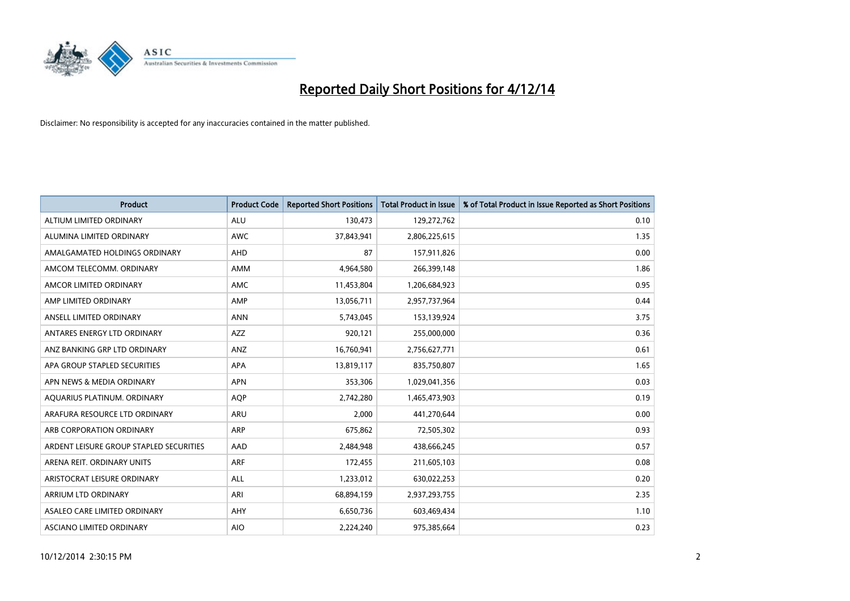

| <b>Product</b>                          | <b>Product Code</b> | <b>Reported Short Positions</b> | <b>Total Product in Issue</b> | % of Total Product in Issue Reported as Short Positions |
|-----------------------------------------|---------------------|---------------------------------|-------------------------------|---------------------------------------------------------|
| ALTIUM LIMITED ORDINARY                 | <b>ALU</b>          | 130,473                         | 129,272,762                   | 0.10                                                    |
| ALUMINA LIMITED ORDINARY                | <b>AWC</b>          | 37,843,941                      | 2,806,225,615                 | 1.35                                                    |
| AMALGAMATED HOLDINGS ORDINARY           | <b>AHD</b>          | 87                              | 157,911,826                   | 0.00                                                    |
| AMCOM TELECOMM. ORDINARY                | AMM                 | 4,964,580                       | 266,399,148                   | 1.86                                                    |
| AMCOR LIMITED ORDINARY                  | AMC                 | 11,453,804                      | 1,206,684,923                 | 0.95                                                    |
| AMP LIMITED ORDINARY                    | AMP                 | 13,056,711                      | 2,957,737,964                 | 0.44                                                    |
| ANSELL LIMITED ORDINARY                 | <b>ANN</b>          | 5,743,045                       | 153,139,924                   | 3.75                                                    |
| ANTARES ENERGY LTD ORDINARY             | AZZ                 | 920,121                         | 255,000,000                   | 0.36                                                    |
| ANZ BANKING GRP LTD ORDINARY            | ANZ                 | 16,760,941                      | 2,756,627,771                 | 0.61                                                    |
| APA GROUP STAPLED SECURITIES            | <b>APA</b>          | 13,819,117                      | 835,750,807                   | 1.65                                                    |
| APN NEWS & MEDIA ORDINARY               | <b>APN</b>          | 353,306                         | 1,029,041,356                 | 0.03                                                    |
| AQUARIUS PLATINUM. ORDINARY             | <b>AOP</b>          | 2,742,280                       | 1,465,473,903                 | 0.19                                                    |
| ARAFURA RESOURCE LTD ORDINARY           | ARU                 | 2,000                           | 441,270,644                   | 0.00                                                    |
| ARB CORPORATION ORDINARY                | ARP                 | 675,862                         | 72,505,302                    | 0.93                                                    |
| ARDENT LEISURE GROUP STAPLED SECURITIES | AAD                 | 2,484,948                       | 438,666,245                   | 0.57                                                    |
| ARENA REIT. ORDINARY UNITS              | ARF                 | 172,455                         | 211,605,103                   | 0.08                                                    |
| ARISTOCRAT LEISURE ORDINARY             | ALL                 | 1,233,012                       | 630,022,253                   | 0.20                                                    |
| ARRIUM LTD ORDINARY                     | ARI                 | 68,894,159                      | 2,937,293,755                 | 2.35                                                    |
| ASALEO CARE LIMITED ORDINARY            | <b>AHY</b>          | 6,650,736                       | 603,469,434                   | 1.10                                                    |
| ASCIANO LIMITED ORDINARY                | <b>AIO</b>          | 2,224,240                       | 975,385,664                   | 0.23                                                    |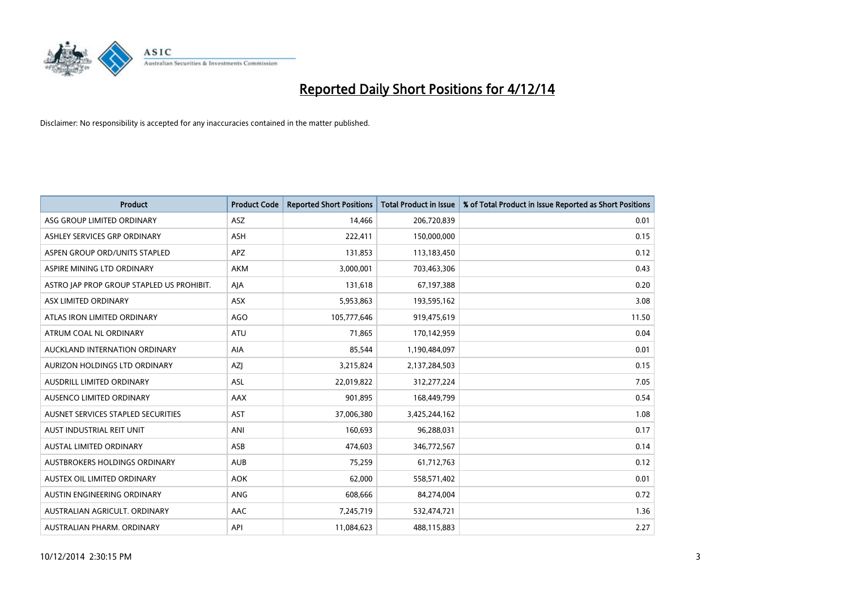

| <b>Product</b>                            | <b>Product Code</b> | <b>Reported Short Positions</b> | <b>Total Product in Issue</b> | % of Total Product in Issue Reported as Short Positions |
|-------------------------------------------|---------------------|---------------------------------|-------------------------------|---------------------------------------------------------|
| ASG GROUP LIMITED ORDINARY                | ASZ                 | 14,466                          | 206,720,839                   | 0.01                                                    |
| ASHLEY SERVICES GRP ORDINARY              | <b>ASH</b>          | 222,411                         | 150,000,000                   | 0.15                                                    |
| ASPEN GROUP ORD/UNITS STAPLED             | APZ                 | 131,853                         | 113,183,450                   | 0.12                                                    |
| ASPIRE MINING LTD ORDINARY                | <b>AKM</b>          | 3,000,001                       | 703,463,306                   | 0.43                                                    |
| ASTRO JAP PROP GROUP STAPLED US PROHIBIT. | AJA                 | 131,618                         | 67,197,388                    | 0.20                                                    |
| ASX LIMITED ORDINARY                      | ASX                 | 5,953,863                       | 193,595,162                   | 3.08                                                    |
| ATLAS IRON LIMITED ORDINARY               | <b>AGO</b>          | 105,777,646                     | 919,475,619                   | 11.50                                                   |
| ATRUM COAL NL ORDINARY                    | ATU                 | 71,865                          | 170,142,959                   | 0.04                                                    |
| AUCKLAND INTERNATION ORDINARY             | AIA                 | 85,544                          | 1,190,484,097                 | 0.01                                                    |
| AURIZON HOLDINGS LTD ORDINARY             | AZJ                 | 3,215,824                       | 2,137,284,503                 | 0.15                                                    |
| AUSDRILL LIMITED ORDINARY                 | ASL                 | 22,019,822                      | 312,277,224                   | 7.05                                                    |
| AUSENCO LIMITED ORDINARY                  | AAX                 | 901,895                         | 168,449,799                   | 0.54                                                    |
| AUSNET SERVICES STAPLED SECURITIES        | <b>AST</b>          | 37,006,380                      | 3,425,244,162                 | 1.08                                                    |
| AUST INDUSTRIAL REIT UNIT                 | ANI                 | 160,693                         | 96,288,031                    | 0.17                                                    |
| <b>AUSTAL LIMITED ORDINARY</b>            | ASB                 | 474,603                         | 346,772,567                   | 0.14                                                    |
| AUSTBROKERS HOLDINGS ORDINARY             | <b>AUB</b>          | 75,259                          | 61,712,763                    | 0.12                                                    |
| AUSTEX OIL LIMITED ORDINARY               | <b>AOK</b>          | 62,000                          | 558,571,402                   | 0.01                                                    |
| AUSTIN ENGINEERING ORDINARY               | ANG                 | 608,666                         | 84,274,004                    | 0.72                                                    |
| AUSTRALIAN AGRICULT, ORDINARY             | AAC                 | 7,245,719                       | 532,474,721                   | 1.36                                                    |
| AUSTRALIAN PHARM. ORDINARY                | API                 | 11,084,623                      | 488,115,883                   | 2.27                                                    |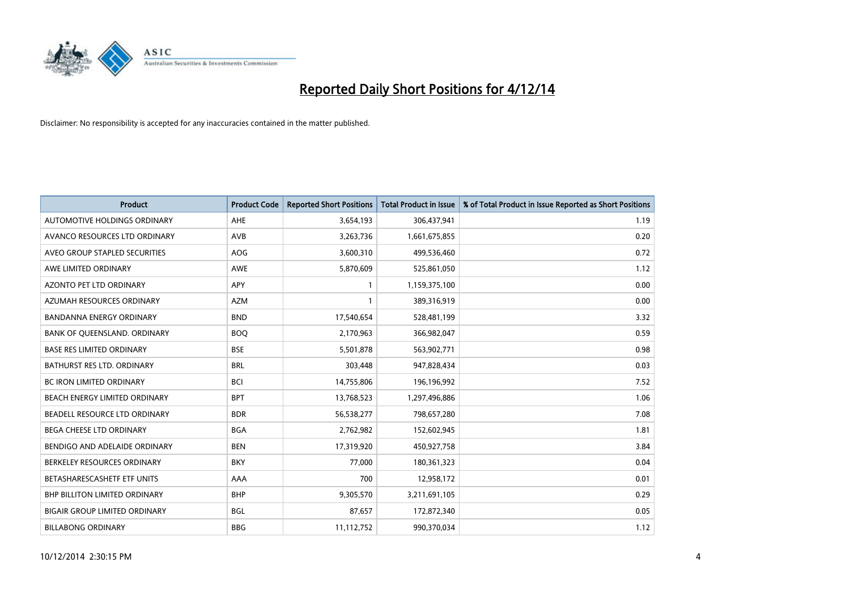

| <b>Product</b>                       | <b>Product Code</b> | <b>Reported Short Positions</b> | <b>Total Product in Issue</b> | % of Total Product in Issue Reported as Short Positions |
|--------------------------------------|---------------------|---------------------------------|-------------------------------|---------------------------------------------------------|
| AUTOMOTIVE HOLDINGS ORDINARY         | AHE                 | 3,654,193                       | 306,437,941                   | 1.19                                                    |
| AVANCO RESOURCES LTD ORDINARY        | AVB                 | 3,263,736                       | 1,661,675,855                 | 0.20                                                    |
| AVEO GROUP STAPLED SECURITIES        | AOG                 | 3,600,310                       | 499,536,460                   | 0.72                                                    |
| AWE LIMITED ORDINARY                 | AWE                 | 5,870,609                       | 525,861,050                   | 1.12                                                    |
| AZONTO PET LTD ORDINARY              | <b>APY</b>          | $\mathbf{1}$                    | 1,159,375,100                 | 0.00                                                    |
| AZUMAH RESOURCES ORDINARY            | <b>AZM</b>          | 1                               | 389,316,919                   | 0.00                                                    |
| <b>BANDANNA ENERGY ORDINARY</b>      | <b>BND</b>          | 17,540,654                      | 528,481,199                   | 3.32                                                    |
| BANK OF QUEENSLAND. ORDINARY         | <b>BOQ</b>          | 2,170,963                       | 366,982,047                   | 0.59                                                    |
| <b>BASE RES LIMITED ORDINARY</b>     | <b>BSE</b>          | 5,501,878                       | 563,902,771                   | 0.98                                                    |
| BATHURST RES LTD. ORDINARY           | <b>BRL</b>          | 303,448                         | 947,828,434                   | 0.03                                                    |
| BC IRON LIMITED ORDINARY             | <b>BCI</b>          | 14,755,806                      | 196,196,992                   | 7.52                                                    |
| BEACH ENERGY LIMITED ORDINARY        | <b>BPT</b>          | 13,768,523                      | 1,297,496,886                 | 1.06                                                    |
| BEADELL RESOURCE LTD ORDINARY        | <b>BDR</b>          | 56,538,277                      | 798,657,280                   | 7.08                                                    |
| <b>BEGA CHEESE LTD ORDINARY</b>      | <b>BGA</b>          | 2,762,982                       | 152,602,945                   | 1.81                                                    |
| BENDIGO AND ADELAIDE ORDINARY        | <b>BEN</b>          | 17,319,920                      | 450,927,758                   | 3.84                                                    |
| BERKELEY RESOURCES ORDINARY          | <b>BKY</b>          | 77,000                          | 180,361,323                   | 0.04                                                    |
| BETASHARESCASHETF ETF UNITS          | AAA                 | 700                             | 12,958,172                    | 0.01                                                    |
| <b>BHP BILLITON LIMITED ORDINARY</b> | <b>BHP</b>          | 9,305,570                       | 3,211,691,105                 | 0.29                                                    |
| <b>BIGAIR GROUP LIMITED ORDINARY</b> | <b>BGL</b>          | 87,657                          | 172,872,340                   | 0.05                                                    |
| <b>BILLABONG ORDINARY</b>            | <b>BBG</b>          | 11,112,752                      | 990,370,034                   | 1.12                                                    |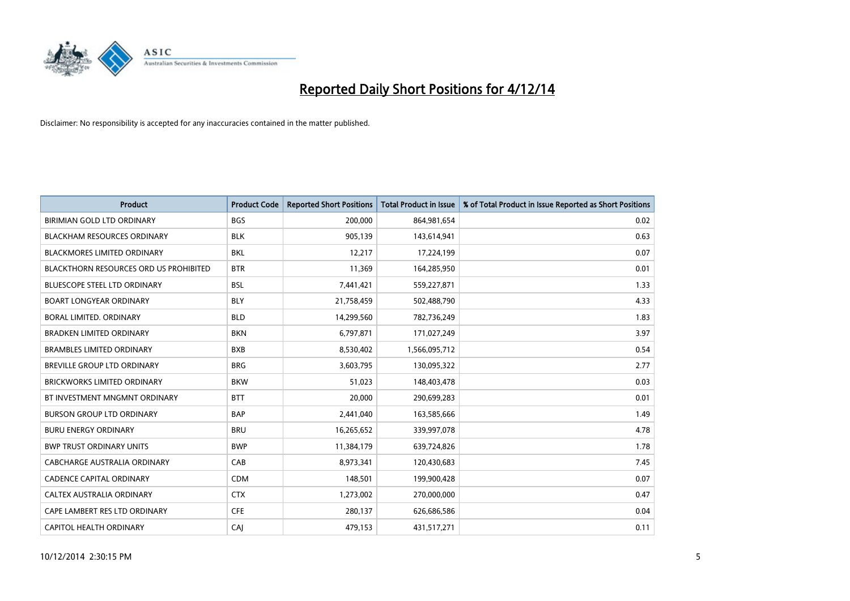

| <b>Product</b>                         | <b>Product Code</b> | <b>Reported Short Positions</b> | <b>Total Product in Issue</b> | % of Total Product in Issue Reported as Short Positions |
|----------------------------------------|---------------------|---------------------------------|-------------------------------|---------------------------------------------------------|
| BIRIMIAN GOLD LTD ORDINARY             | <b>BGS</b>          | 200,000                         | 864,981,654                   | 0.02                                                    |
| <b>BLACKHAM RESOURCES ORDINARY</b>     | <b>BLK</b>          | 905,139                         | 143,614,941                   | 0.63                                                    |
| <b>BLACKMORES LIMITED ORDINARY</b>     | <b>BKL</b>          | 12,217                          | 17,224,199                    | 0.07                                                    |
| BLACKTHORN RESOURCES ORD US PROHIBITED | <b>BTR</b>          | 11,369                          | 164,285,950                   | 0.01                                                    |
| <b>BLUESCOPE STEEL LTD ORDINARY</b>    | <b>BSL</b>          | 7,441,421                       | 559,227,871                   | 1.33                                                    |
| <b>BOART LONGYEAR ORDINARY</b>         | <b>BLY</b>          | 21,758,459                      | 502,488,790                   | 4.33                                                    |
| BORAL LIMITED, ORDINARY                | <b>BLD</b>          | 14,299,560                      | 782,736,249                   | 1.83                                                    |
| <b>BRADKEN LIMITED ORDINARY</b>        | <b>BKN</b>          | 6,797,871                       | 171,027,249                   | 3.97                                                    |
| <b>BRAMBLES LIMITED ORDINARY</b>       | <b>BXB</b>          | 8,530,402                       | 1,566,095,712                 | 0.54                                                    |
| <b>BREVILLE GROUP LTD ORDINARY</b>     | <b>BRG</b>          | 3,603,795                       | 130,095,322                   | 2.77                                                    |
| BRICKWORKS LIMITED ORDINARY            | <b>BKW</b>          | 51,023                          | 148,403,478                   | 0.03                                                    |
| BT INVESTMENT MNGMNT ORDINARY          | <b>BTT</b>          | 20,000                          | 290,699,283                   | 0.01                                                    |
| <b>BURSON GROUP LTD ORDINARY</b>       | <b>BAP</b>          | 2,441,040                       | 163,585,666                   | 1.49                                                    |
| <b>BURU ENERGY ORDINARY</b>            | <b>BRU</b>          | 16,265,652                      | 339,997,078                   | 4.78                                                    |
| <b>BWP TRUST ORDINARY UNITS</b>        | <b>BWP</b>          | 11,384,179                      | 639,724,826                   | 1.78                                                    |
| CABCHARGE AUSTRALIA ORDINARY           | CAB                 | 8,973,341                       | 120,430,683                   | 7.45                                                    |
| <b>CADENCE CAPITAL ORDINARY</b>        | <b>CDM</b>          | 148,501                         | 199,900,428                   | 0.07                                                    |
| CALTEX AUSTRALIA ORDINARY              | <b>CTX</b>          | 1,273,002                       | 270,000,000                   | 0.47                                                    |
| CAPE LAMBERT RES LTD ORDINARY          | <b>CFE</b>          | 280,137                         | 626,686,586                   | 0.04                                                    |
| CAPITOL HEALTH ORDINARY                | CAJ                 | 479,153                         | 431,517,271                   | 0.11                                                    |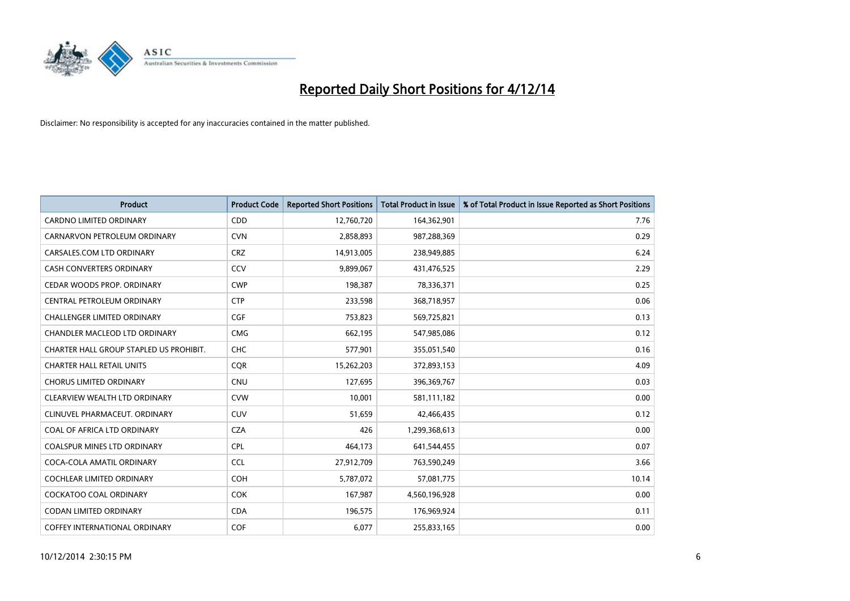

| <b>Product</b>                          | <b>Product Code</b> | <b>Reported Short Positions</b> | <b>Total Product in Issue</b> | % of Total Product in Issue Reported as Short Positions |
|-----------------------------------------|---------------------|---------------------------------|-------------------------------|---------------------------------------------------------|
| <b>CARDNO LIMITED ORDINARY</b>          | CDD                 | 12,760,720                      | 164,362,901                   | 7.76                                                    |
| CARNARVON PETROLEUM ORDINARY            | <b>CVN</b>          | 2,858,893                       | 987,288,369                   | 0.29                                                    |
| CARSALES.COM LTD ORDINARY               | <b>CRZ</b>          | 14,913,005                      | 238,949,885                   | 6.24                                                    |
| <b>CASH CONVERTERS ORDINARY</b>         | CCV                 | 9,899,067                       | 431,476,525                   | 2.29                                                    |
| CEDAR WOODS PROP. ORDINARY              | <b>CWP</b>          | 198,387                         | 78,336,371                    | 0.25                                                    |
| <b>CENTRAL PETROLEUM ORDINARY</b>       | <b>CTP</b>          | 233,598                         | 368,718,957                   | 0.06                                                    |
| CHALLENGER LIMITED ORDINARY             | <b>CGF</b>          | 753,823                         | 569,725,821                   | 0.13                                                    |
| CHANDLER MACLEOD LTD ORDINARY           | <b>CMG</b>          | 662,195                         | 547,985,086                   | 0.12                                                    |
| CHARTER HALL GROUP STAPLED US PROHIBIT. | <b>CHC</b>          | 577,901                         | 355,051,540                   | 0.16                                                    |
| <b>CHARTER HALL RETAIL UNITS</b>        | <b>CQR</b>          | 15,262,203                      | 372,893,153                   | 4.09                                                    |
| <b>CHORUS LIMITED ORDINARY</b>          | <b>CNU</b>          | 127,695                         | 396,369,767                   | 0.03                                                    |
| CLEARVIEW WEALTH LTD ORDINARY           | <b>CVW</b>          | 10,001                          | 581,111,182                   | 0.00                                                    |
| CLINUVEL PHARMACEUT, ORDINARY           | <b>CUV</b>          | 51,659                          | 42,466,435                    | 0.12                                                    |
| COAL OF AFRICA LTD ORDINARY             | <b>CZA</b>          | 426                             | 1,299,368,613                 | 0.00                                                    |
| <b>COALSPUR MINES LTD ORDINARY</b>      | <b>CPL</b>          | 464,173                         | 641,544,455                   | 0.07                                                    |
| COCA-COLA AMATIL ORDINARY               | <b>CCL</b>          | 27,912,709                      | 763,590,249                   | 3.66                                                    |
| COCHLEAR LIMITED ORDINARY               | <b>COH</b>          | 5,787,072                       | 57,081,775                    | 10.14                                                   |
| <b>COCKATOO COAL ORDINARY</b>           | <b>COK</b>          | 167,987                         | 4,560,196,928                 | 0.00                                                    |
| <b>CODAN LIMITED ORDINARY</b>           | <b>CDA</b>          | 196,575                         | 176,969,924                   | 0.11                                                    |
| COFFEY INTERNATIONAL ORDINARY           | <b>COF</b>          | 6,077                           | 255,833,165                   | 0.00                                                    |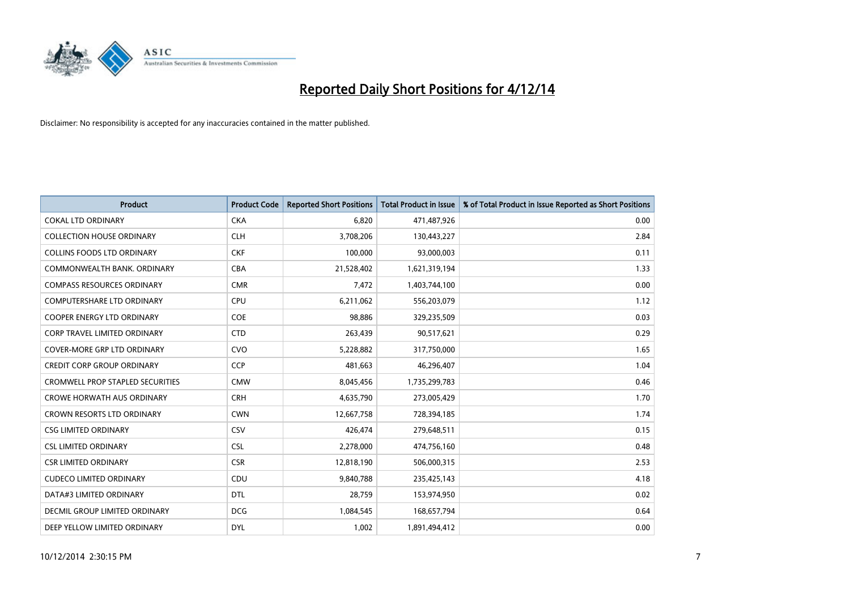

| <b>Product</b>                      | <b>Product Code</b> | <b>Reported Short Positions</b> | <b>Total Product in Issue</b> | % of Total Product in Issue Reported as Short Positions |
|-------------------------------------|---------------------|---------------------------------|-------------------------------|---------------------------------------------------------|
| <b>COKAL LTD ORDINARY</b>           | <b>CKA</b>          | 6,820                           | 471,487,926                   | 0.00                                                    |
| <b>COLLECTION HOUSE ORDINARY</b>    | <b>CLH</b>          | 3,708,206                       | 130,443,227                   | 2.84                                                    |
| <b>COLLINS FOODS LTD ORDINARY</b>   | <b>CKF</b>          | 100,000                         | 93,000,003                    | 0.11                                                    |
| COMMONWEALTH BANK, ORDINARY         | <b>CBA</b>          | 21,528,402                      | 1,621,319,194                 | 1.33                                                    |
| <b>COMPASS RESOURCES ORDINARY</b>   | <b>CMR</b>          | 7,472                           | 1,403,744,100                 | 0.00                                                    |
| COMPUTERSHARE LTD ORDINARY          | <b>CPU</b>          | 6,211,062                       | 556,203,079                   | 1.12                                                    |
| <b>COOPER ENERGY LTD ORDINARY</b>   | <b>COE</b>          | 98,886                          | 329,235,509                   | 0.03                                                    |
| <b>CORP TRAVEL LIMITED ORDINARY</b> | <b>CTD</b>          | 263,439                         | 90,517,621                    | 0.29                                                    |
| <b>COVER-MORE GRP LTD ORDINARY</b>  | <b>CVO</b>          | 5,228,882                       | 317,750,000                   | 1.65                                                    |
| <b>CREDIT CORP GROUP ORDINARY</b>   | CCP                 | 481,663                         | 46,296,407                    | 1.04                                                    |
| CROMWELL PROP STAPLED SECURITIES    | <b>CMW</b>          | 8,045,456                       | 1,735,299,783                 | 0.46                                                    |
| <b>CROWE HORWATH AUS ORDINARY</b>   | <b>CRH</b>          | 4,635,790                       | 273,005,429                   | 1.70                                                    |
| CROWN RESORTS LTD ORDINARY          | <b>CWN</b>          | 12,667,758                      | 728,394,185                   | 1.74                                                    |
| <b>CSG LIMITED ORDINARY</b>         | CSV                 | 426,474                         | 279,648,511                   | 0.15                                                    |
| <b>CSL LIMITED ORDINARY</b>         | <b>CSL</b>          | 2,278,000                       | 474,756,160                   | 0.48                                                    |
| <b>CSR LIMITED ORDINARY</b>         | <b>CSR</b>          | 12,818,190                      | 506,000,315                   | 2.53                                                    |
| <b>CUDECO LIMITED ORDINARY</b>      | <b>CDU</b>          | 9,840,788                       | 235,425,143                   | 4.18                                                    |
| DATA#3 LIMITED ORDINARY             | <b>DTL</b>          | 28,759                          | 153,974,950                   | 0.02                                                    |
| DECMIL GROUP LIMITED ORDINARY       | <b>DCG</b>          | 1,084,545                       | 168,657,794                   | 0.64                                                    |
| DEEP YELLOW LIMITED ORDINARY        | <b>DYL</b>          | 1,002                           | 1,891,494,412                 | 0.00                                                    |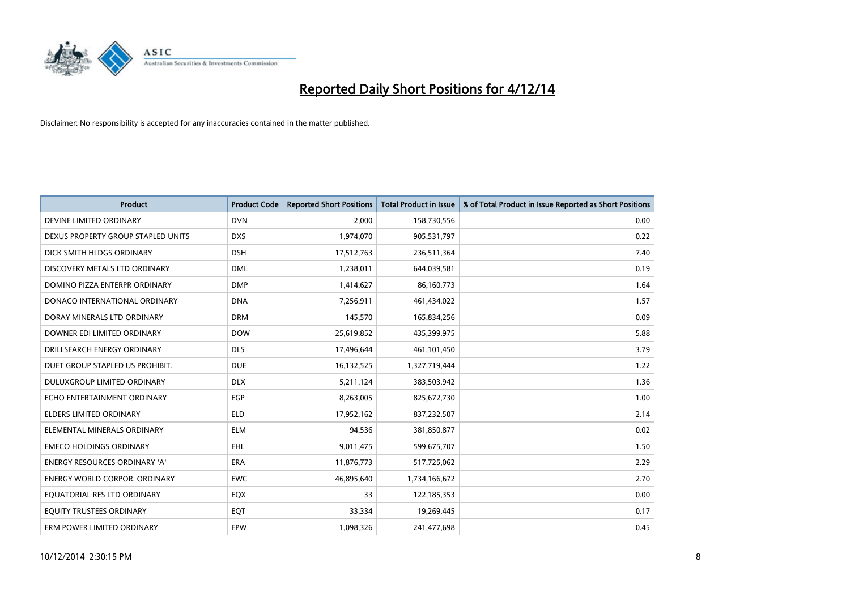

| <b>Product</b>                     | <b>Product Code</b> | <b>Reported Short Positions</b> | <b>Total Product in Issue</b> | % of Total Product in Issue Reported as Short Positions |
|------------------------------------|---------------------|---------------------------------|-------------------------------|---------------------------------------------------------|
| DEVINE LIMITED ORDINARY            | <b>DVN</b>          | 2.000                           | 158,730,556                   | 0.00                                                    |
| DEXUS PROPERTY GROUP STAPLED UNITS | <b>DXS</b>          | 1,974,070                       | 905,531,797                   | 0.22                                                    |
| DICK SMITH HLDGS ORDINARY          | <b>DSH</b>          | 17,512,763                      | 236,511,364                   | 7.40                                                    |
| DISCOVERY METALS LTD ORDINARY      | <b>DML</b>          | 1,238,011                       | 644,039,581                   | 0.19                                                    |
| DOMINO PIZZA ENTERPR ORDINARY      | <b>DMP</b>          | 1,414,627                       | 86,160,773                    | 1.64                                                    |
| DONACO INTERNATIONAL ORDINARY      | <b>DNA</b>          | 7,256,911                       | 461,434,022                   | 1.57                                                    |
| DORAY MINERALS LTD ORDINARY        | <b>DRM</b>          | 145,570                         | 165,834,256                   | 0.09                                                    |
| DOWNER EDI LIMITED ORDINARY        | <b>DOW</b>          | 25,619,852                      | 435,399,975                   | 5.88                                                    |
| DRILLSEARCH ENERGY ORDINARY        | <b>DLS</b>          | 17,496,644                      | 461,101,450                   | 3.79                                                    |
| DUET GROUP STAPLED US PROHIBIT.    | <b>DUE</b>          | 16,132,525                      | 1,327,719,444                 | 1.22                                                    |
| DULUXGROUP LIMITED ORDINARY        | <b>DLX</b>          | 5,211,124                       | 383,503,942                   | 1.36                                                    |
| ECHO ENTERTAINMENT ORDINARY        | <b>EGP</b>          | 8,263,005                       | 825,672,730                   | 1.00                                                    |
| <b>ELDERS LIMITED ORDINARY</b>     | <b>ELD</b>          | 17,952,162                      | 837,232,507                   | 2.14                                                    |
| ELEMENTAL MINERALS ORDINARY        | <b>ELM</b>          | 94,536                          | 381,850,877                   | 0.02                                                    |
| <b>EMECO HOLDINGS ORDINARY</b>     | <b>EHL</b>          | 9,011,475                       | 599,675,707                   | 1.50                                                    |
| ENERGY RESOURCES ORDINARY 'A'      | ERA                 | 11,876,773                      | 517,725,062                   | 2.29                                                    |
| ENERGY WORLD CORPOR. ORDINARY      | <b>EWC</b>          | 46,895,640                      | 1,734,166,672                 | 2.70                                                    |
| EQUATORIAL RES LTD ORDINARY        | EQX                 | 33                              | 122,185,353                   | 0.00                                                    |
| EQUITY TRUSTEES ORDINARY           | EQT                 | 33,334                          | 19,269,445                    | 0.17                                                    |
| ERM POWER LIMITED ORDINARY         | EPW                 | 1,098,326                       | 241,477,698                   | 0.45                                                    |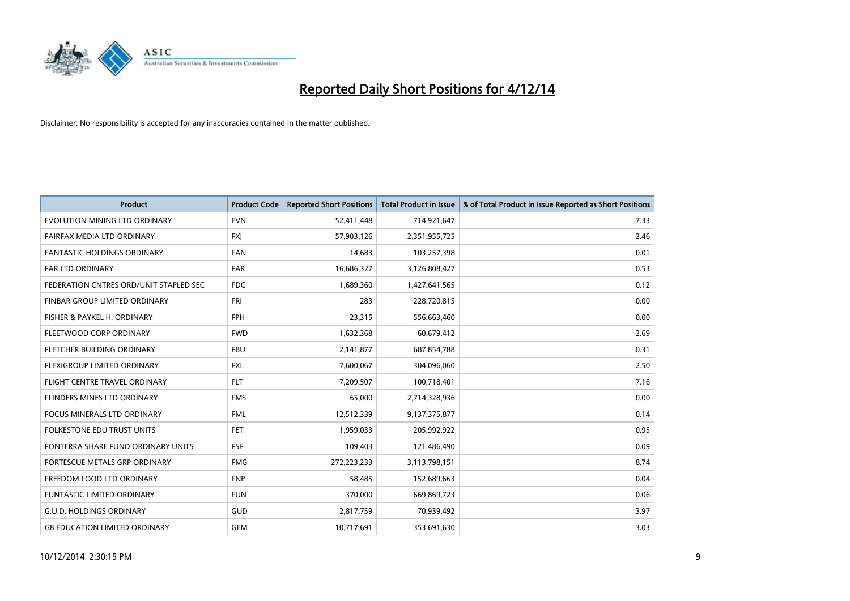

| <b>Product</b>                         | <b>Product Code</b> | <b>Reported Short Positions</b> | <b>Total Product in Issue</b> | % of Total Product in Issue Reported as Short Positions |
|----------------------------------------|---------------------|---------------------------------|-------------------------------|---------------------------------------------------------|
| EVOLUTION MINING LTD ORDINARY          | <b>EVN</b>          | 52,411,448                      | 714,921,647                   | 7.33                                                    |
| FAIRFAX MEDIA LTD ORDINARY             | FXJ                 | 57,903,126                      | 2,351,955,725                 | 2.46                                                    |
| FANTASTIC HOLDINGS ORDINARY            | <b>FAN</b>          | 14,683                          | 103,257,398                   | 0.01                                                    |
| <b>FAR LTD ORDINARY</b>                | <b>FAR</b>          | 16,686,327                      | 3,126,808,427                 | 0.53                                                    |
| FEDERATION CNTRES ORD/UNIT STAPLED SEC | <b>FDC</b>          | 1,689,360                       | 1,427,641,565                 | 0.12                                                    |
| FINBAR GROUP LIMITED ORDINARY          | FRI                 | 283                             | 228,720,815                   | 0.00                                                    |
| FISHER & PAYKEL H. ORDINARY            | <b>FPH</b>          | 23,315                          | 556,663,460                   | 0.00                                                    |
| FLEETWOOD CORP ORDINARY                | <b>FWD</b>          | 1,632,368                       | 60,679,412                    | 2.69                                                    |
| FLETCHER BUILDING ORDINARY             | <b>FBU</b>          | 2,141,877                       | 687,854,788                   | 0.31                                                    |
| FLEXIGROUP LIMITED ORDINARY            | <b>FXL</b>          | 7,600,067                       | 304,096,060                   | 2.50                                                    |
| FLIGHT CENTRE TRAVEL ORDINARY          | <b>FLT</b>          | 7,209,507                       | 100,718,401                   | 7.16                                                    |
| FLINDERS MINES LTD ORDINARY            | <b>FMS</b>          | 65,000                          | 2,714,328,936                 | 0.00                                                    |
| <b>FOCUS MINERALS LTD ORDINARY</b>     | <b>FML</b>          | 12,512,339                      | 9,137,375,877                 | 0.14                                                    |
| <b>FOLKESTONE EDU TRUST UNITS</b>      | <b>FET</b>          | 1,959,033                       | 205,992,922                   | 0.95                                                    |
| FONTERRA SHARE FUND ORDINARY UNITS     | <b>FSF</b>          | 109,403                         | 121,486,490                   | 0.09                                                    |
| FORTESCUE METALS GRP ORDINARY          | <b>FMG</b>          | 272,223,233                     | 3,113,798,151                 | 8.74                                                    |
| FREEDOM FOOD LTD ORDINARY              | <b>FNP</b>          | 58,485                          | 152,689,663                   | 0.04                                                    |
| <b>FUNTASTIC LIMITED ORDINARY</b>      | <b>FUN</b>          | 370,000                         | 669,869,723                   | 0.06                                                    |
| <b>G.U.D. HOLDINGS ORDINARY</b>        | GUD                 | 2,817,759                       | 70,939,492                    | 3.97                                                    |
| <b>G8 EDUCATION LIMITED ORDINARY</b>   | <b>GEM</b>          | 10,717,691                      | 353,691,630                   | 3.03                                                    |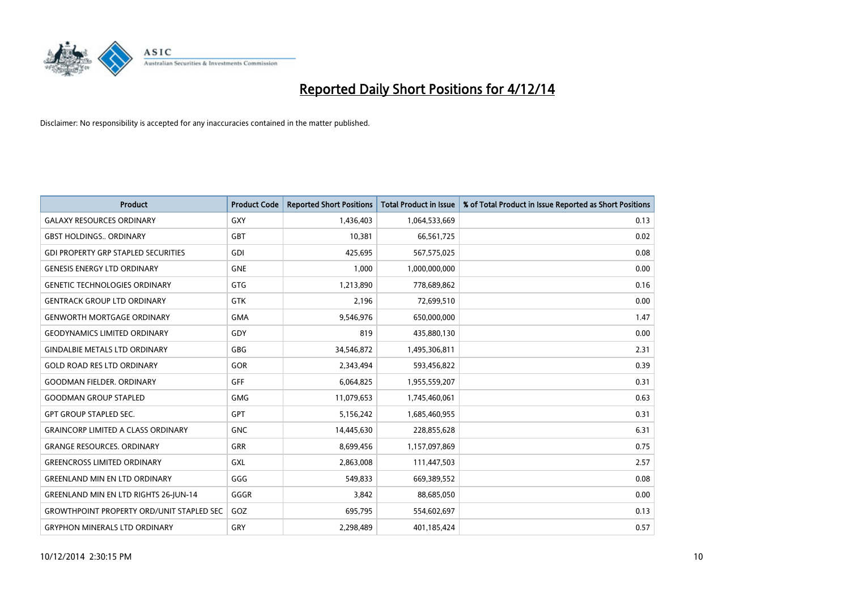

| <b>Product</b>                                   | <b>Product Code</b> | <b>Reported Short Positions</b> | <b>Total Product in Issue</b> | % of Total Product in Issue Reported as Short Positions |
|--------------------------------------------------|---------------------|---------------------------------|-------------------------------|---------------------------------------------------------|
| <b>GALAXY RESOURCES ORDINARY</b>                 | GXY                 | 1,436,403                       | 1,064,533,669                 | 0.13                                                    |
| <b>GBST HOLDINGS ORDINARY</b>                    | <b>GBT</b>          | 10,381                          | 66,561,725                    | 0.02                                                    |
| <b>GDI PROPERTY GRP STAPLED SECURITIES</b>       | GDI                 | 425,695                         | 567,575,025                   | 0.08                                                    |
| <b>GENESIS ENERGY LTD ORDINARY</b>               | <b>GNE</b>          | 1,000                           | 1,000,000,000                 | 0.00                                                    |
| <b>GENETIC TECHNOLOGIES ORDINARY</b>             | <b>GTG</b>          | 1,213,890                       | 778,689,862                   | 0.16                                                    |
| <b>GENTRACK GROUP LTD ORDINARY</b>               | GTK                 | 2,196                           | 72,699,510                    | 0.00                                                    |
| <b>GENWORTH MORTGAGE ORDINARY</b>                | <b>GMA</b>          | 9,546,976                       | 650,000,000                   | 1.47                                                    |
| <b>GEODYNAMICS LIMITED ORDINARY</b>              | GDY                 | 819                             | 435,880,130                   | 0.00                                                    |
| <b>GINDALBIE METALS LTD ORDINARY</b>             | GBG                 | 34,546,872                      | 1,495,306,811                 | 2.31                                                    |
| <b>GOLD ROAD RES LTD ORDINARY</b>                | GOR                 | 2,343,494                       | 593,456,822                   | 0.39                                                    |
| <b>GOODMAN FIELDER, ORDINARY</b>                 | GFF                 | 6,064,825                       | 1,955,559,207                 | 0.31                                                    |
| <b>GOODMAN GROUP STAPLED</b>                     | <b>GMG</b>          | 11,079,653                      | 1,745,460,061                 | 0.63                                                    |
| <b>GPT GROUP STAPLED SEC.</b>                    | GPT                 | 5,156,242                       | 1,685,460,955                 | 0.31                                                    |
| <b>GRAINCORP LIMITED A CLASS ORDINARY</b>        | <b>GNC</b>          | 14,445,630                      | 228,855,628                   | 6.31                                                    |
| <b>GRANGE RESOURCES, ORDINARY</b>                | <b>GRR</b>          | 8,699,456                       | 1,157,097,869                 | 0.75                                                    |
| <b>GREENCROSS LIMITED ORDINARY</b>               | GXL                 | 2,863,008                       | 111,447,503                   | 2.57                                                    |
| <b>GREENLAND MIN EN LTD ORDINARY</b>             | GGG                 | 549,833                         | 669,389,552                   | 0.08                                                    |
| GREENLAND MIN EN LTD RIGHTS 26-JUN-14            | GGGR                | 3,842                           | 88,685,050                    | 0.00                                                    |
| <b>GROWTHPOINT PROPERTY ORD/UNIT STAPLED SEC</b> | GOZ                 | 695,795                         | 554,602,697                   | 0.13                                                    |
| <b>GRYPHON MINERALS LTD ORDINARY</b>             | GRY                 | 2,298,489                       | 401,185,424                   | 0.57                                                    |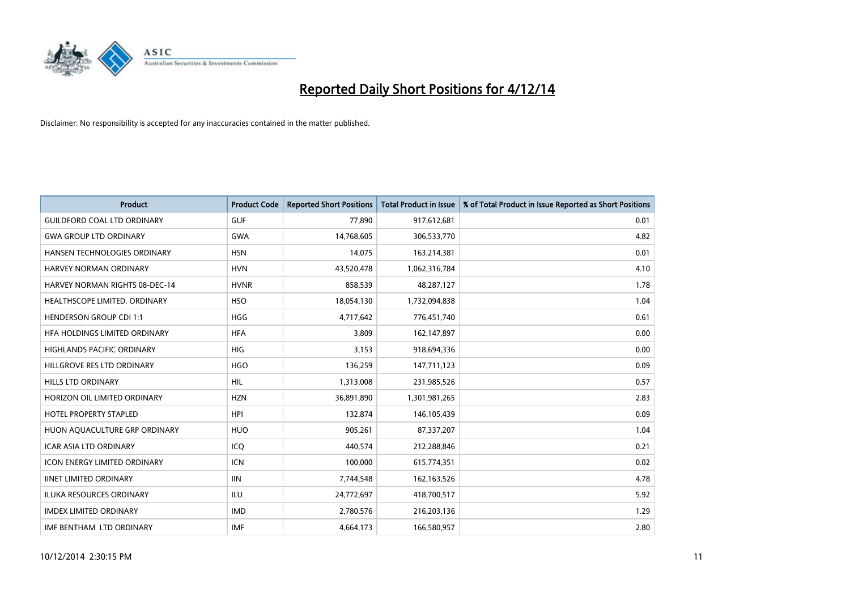

| <b>Product</b>                        | <b>Product Code</b> | <b>Reported Short Positions</b> | <b>Total Product in Issue</b> | % of Total Product in Issue Reported as Short Positions |
|---------------------------------------|---------------------|---------------------------------|-------------------------------|---------------------------------------------------------|
| <b>GUILDFORD COAL LTD ORDINARY</b>    | <b>GUF</b>          | 77,890                          | 917,612,681                   | 0.01                                                    |
| <b>GWA GROUP LTD ORDINARY</b>         | <b>GWA</b>          | 14,768,605                      | 306,533,770                   | 4.82                                                    |
| <b>HANSEN TECHNOLOGIES ORDINARY</b>   | <b>HSN</b>          | 14,075                          | 163,214,381                   | 0.01                                                    |
| HARVEY NORMAN ORDINARY                | <b>HVN</b>          | 43,520,478                      | 1,062,316,784                 | 4.10                                                    |
| <b>HARVEY NORMAN RIGHTS 08-DEC-14</b> | <b>HVNR</b>         | 858,539                         | 48,287,127                    | 1.78                                                    |
| HEALTHSCOPE LIMITED. ORDINARY         | <b>HSO</b>          | 18,054,130                      | 1,732,094,838                 | 1.04                                                    |
| <b>HENDERSON GROUP CDI 1:1</b>        | <b>HGG</b>          | 4,717,642                       | 776,451,740                   | 0.61                                                    |
| <b>HFA HOLDINGS LIMITED ORDINARY</b>  | <b>HFA</b>          | 3,809                           | 162,147,897                   | 0.00                                                    |
| HIGHLANDS PACIFIC ORDINARY            | HIG                 | 3,153                           | 918,694,336                   | 0.00                                                    |
| HILLGROVE RES LTD ORDINARY            | <b>HGO</b>          | 136,259                         | 147,711,123                   | 0.09                                                    |
| HILLS LTD ORDINARY                    | <b>HIL</b>          | 1,313,008                       | 231,985,526                   | 0.57                                                    |
| HORIZON OIL LIMITED ORDINARY          | <b>HZN</b>          | 36,891,890                      | 1,301,981,265                 | 2.83                                                    |
| HOTEL PROPERTY STAPLED                | <b>HPI</b>          | 132,874                         | 146,105,439                   | 0.09                                                    |
| HUON AQUACULTURE GRP ORDINARY         | <b>HUO</b>          | 905,261                         | 87,337,207                    | 1.04                                                    |
| <b>ICAR ASIA LTD ORDINARY</b>         | ICQ                 | 440,574                         | 212,288,846                   | 0.21                                                    |
| <b>ICON ENERGY LIMITED ORDINARY</b>   | <b>ICN</b>          | 100,000                         | 615,774,351                   | 0.02                                                    |
| <b>IINET LIMITED ORDINARY</b>         | <b>IIN</b>          | 7,744,548                       | 162,163,526                   | 4.78                                                    |
| ILUKA RESOURCES ORDINARY              | ILU                 | 24,772,697                      | 418,700,517                   | 5.92                                                    |
| <b>IMDEX LIMITED ORDINARY</b>         | <b>IMD</b>          | 2,780,576                       | 216,203,136                   | 1.29                                                    |
| IMF BENTHAM LTD ORDINARY              | <b>IMF</b>          | 4,664,173                       | 166,580,957                   | 2.80                                                    |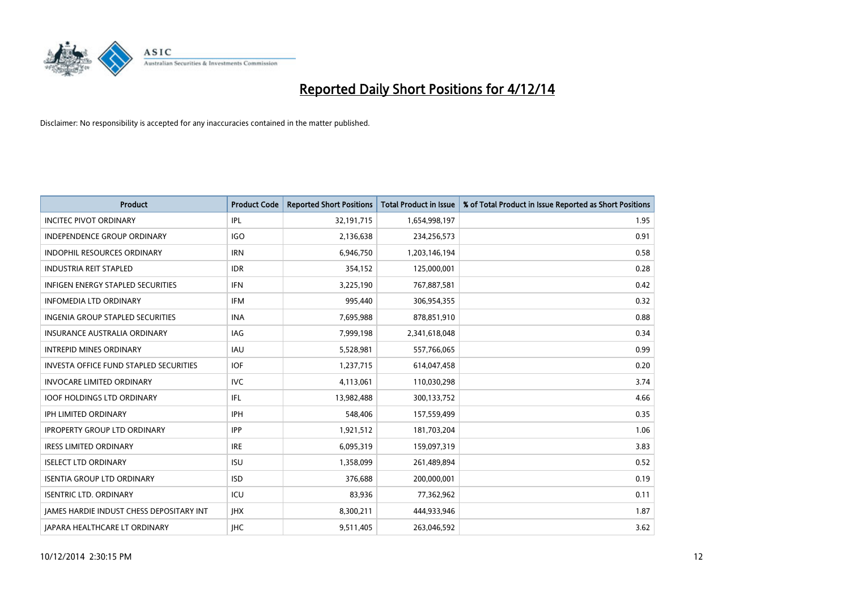

| <b>Product</b>                                  | <b>Product Code</b> | <b>Reported Short Positions</b> | <b>Total Product in Issue</b> | % of Total Product in Issue Reported as Short Positions |
|-------------------------------------------------|---------------------|---------------------------------|-------------------------------|---------------------------------------------------------|
| <b>INCITEC PIVOT ORDINARY</b>                   | IPL                 | 32,191,715                      | 1,654,998,197                 | 1.95                                                    |
| INDEPENDENCE GROUP ORDINARY                     | <b>IGO</b>          | 2,136,638                       | 234,256,573                   | 0.91                                                    |
| <b>INDOPHIL RESOURCES ORDINARY</b>              | <b>IRN</b>          | 6,946,750                       | 1,203,146,194                 | 0.58                                                    |
| <b>INDUSTRIA REIT STAPLED</b>                   | <b>IDR</b>          | 354,152                         | 125,000,001                   | 0.28                                                    |
| <b>INFIGEN ENERGY STAPLED SECURITIES</b>        | <b>IFN</b>          | 3,225,190                       | 767,887,581                   | 0.42                                                    |
| <b>INFOMEDIA LTD ORDINARY</b>                   | <b>IFM</b>          | 995,440                         | 306,954,355                   | 0.32                                                    |
| <b>INGENIA GROUP STAPLED SECURITIES</b>         | <b>INA</b>          | 7,695,988                       | 878,851,910                   | 0.88                                                    |
| <b>INSURANCE AUSTRALIA ORDINARY</b>             | IAG                 | 7,999,198                       | 2,341,618,048                 | 0.34                                                    |
| <b>INTREPID MINES ORDINARY</b>                  | <b>IAU</b>          | 5,528,981                       | 557,766,065                   | 0.99                                                    |
| INVESTA OFFICE FUND STAPLED SECURITIES          | <b>IOF</b>          | 1,237,715                       | 614,047,458                   | 0.20                                                    |
| <b>INVOCARE LIMITED ORDINARY</b>                | <b>IVC</b>          | 4,113,061                       | 110,030,298                   | 3.74                                                    |
| <b>IOOF HOLDINGS LTD ORDINARY</b>               | IFL                 | 13,982,488                      | 300,133,752                   | 4.66                                                    |
| <b>IPH LIMITED ORDINARY</b>                     | <b>IPH</b>          | 548,406                         | 157,559,499                   | 0.35                                                    |
| <b>IPROPERTY GROUP LTD ORDINARY</b>             | <b>IPP</b>          | 1,921,512                       | 181,703,204                   | 1.06                                                    |
| <b>IRESS LIMITED ORDINARY</b>                   | <b>IRE</b>          | 6,095,319                       | 159,097,319                   | 3.83                                                    |
| <b>ISELECT LTD ORDINARY</b>                     | <b>ISU</b>          | 1,358,099                       | 261,489,894                   | 0.52                                                    |
| <b>ISENTIA GROUP LTD ORDINARY</b>               | <b>ISD</b>          | 376,688                         | 200,000,001                   | 0.19                                                    |
| <b>ISENTRIC LTD. ORDINARY</b>                   | ICU                 | 83,936                          | 77,362,962                    | 0.11                                                    |
| <b>IAMES HARDIE INDUST CHESS DEPOSITARY INT</b> | <b>IHX</b>          | 8,300,211                       | 444,933,946                   | 1.87                                                    |
| JAPARA HEALTHCARE LT ORDINARY                   | <b>IHC</b>          | 9,511,405                       | 263,046,592                   | 3.62                                                    |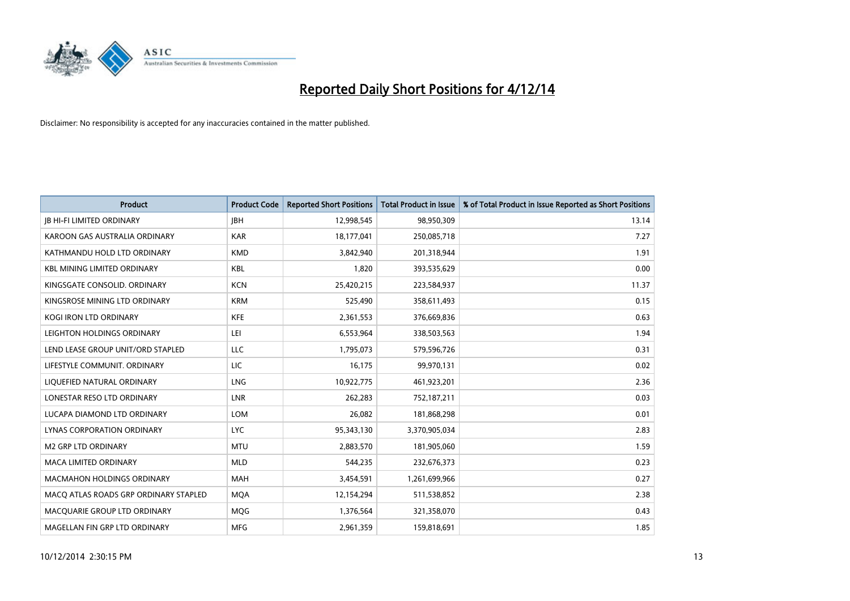

| <b>Product</b>                        | <b>Product Code</b> | <b>Reported Short Positions</b> | <b>Total Product in Issue</b> | % of Total Product in Issue Reported as Short Positions |
|---------------------------------------|---------------------|---------------------------------|-------------------------------|---------------------------------------------------------|
| <b>JB HI-FI LIMITED ORDINARY</b>      | <b>IBH</b>          | 12,998,545                      | 98,950,309                    | 13.14                                                   |
| KAROON GAS AUSTRALIA ORDINARY         | <b>KAR</b>          | 18,177,041                      | 250,085,718                   | 7.27                                                    |
| KATHMANDU HOLD LTD ORDINARY           | <b>KMD</b>          | 3,842,940                       | 201,318,944                   | 1.91                                                    |
| <b>KBL MINING LIMITED ORDINARY</b>    | <b>KBL</b>          | 1,820                           | 393,535,629                   | 0.00                                                    |
| KINGSGATE CONSOLID. ORDINARY          | <b>KCN</b>          | 25,420,215                      | 223,584,937                   | 11.37                                                   |
| KINGSROSE MINING LTD ORDINARY         | <b>KRM</b>          | 525,490                         | 358,611,493                   | 0.15                                                    |
| <b>KOGI IRON LTD ORDINARY</b>         | <b>KFE</b>          | 2,361,553                       | 376,669,836                   | 0.63                                                    |
| LEIGHTON HOLDINGS ORDINARY            | LEI                 | 6,553,964                       | 338,503,563                   | 1.94                                                    |
| LEND LEASE GROUP UNIT/ORD STAPLED     | LLC                 | 1,795,073                       | 579,596,726                   | 0.31                                                    |
| LIFESTYLE COMMUNIT, ORDINARY          | <b>LIC</b>          | 16,175                          | 99,970,131                    | 0.02                                                    |
| LIQUEFIED NATURAL ORDINARY            | LNG                 | 10,922,775                      | 461,923,201                   | 2.36                                                    |
| LONESTAR RESO LTD ORDINARY            | LNR                 | 262,283                         | 752,187,211                   | 0.03                                                    |
| LUCAPA DIAMOND LTD ORDINARY           | <b>LOM</b>          | 26,082                          | 181,868,298                   | 0.01                                                    |
| LYNAS CORPORATION ORDINARY            | <b>LYC</b>          | 95,343,130                      | 3,370,905,034                 | 2.83                                                    |
| <b>M2 GRP LTD ORDINARY</b>            | <b>MTU</b>          | 2,883,570                       | 181,905,060                   | 1.59                                                    |
| <b>MACA LIMITED ORDINARY</b>          | <b>MLD</b>          | 544,235                         | 232,676,373                   | 0.23                                                    |
| <b>MACMAHON HOLDINGS ORDINARY</b>     | MAH                 | 3,454,591                       | 1,261,699,966                 | 0.27                                                    |
| MACQ ATLAS ROADS GRP ORDINARY STAPLED | <b>MOA</b>          | 12,154,294                      | 511,538,852                   | 2.38                                                    |
| MACQUARIE GROUP LTD ORDINARY          | MQG                 | 1,376,564                       | 321,358,070                   | 0.43                                                    |
| MAGELLAN FIN GRP LTD ORDINARY         | <b>MFG</b>          | 2,961,359                       | 159,818,691                   | 1.85                                                    |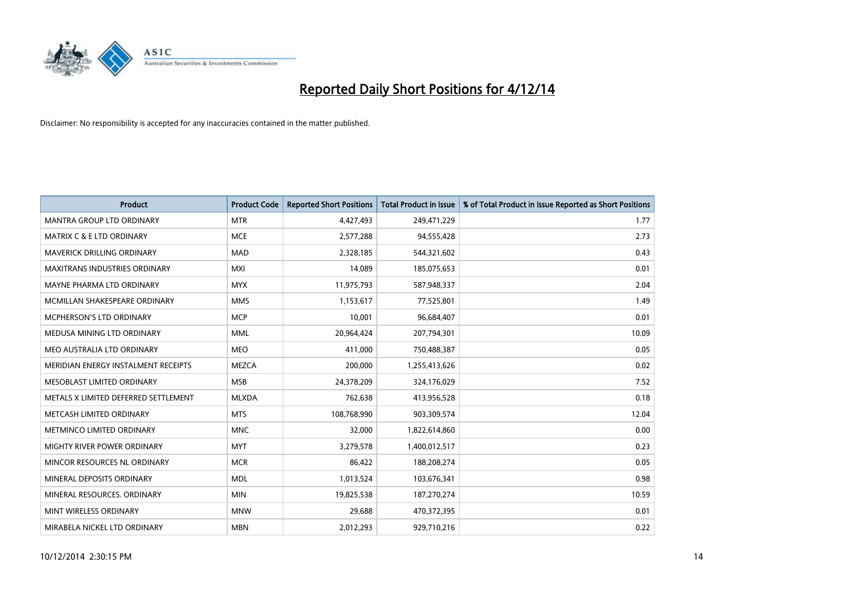

| <b>Product</b>                       | <b>Product Code</b> | <b>Reported Short Positions</b> | <b>Total Product in Issue</b> | % of Total Product in Issue Reported as Short Positions |
|--------------------------------------|---------------------|---------------------------------|-------------------------------|---------------------------------------------------------|
| MANTRA GROUP LTD ORDINARY            | <b>MTR</b>          | 4,427,493                       | 249,471,229                   | 1.77                                                    |
| <b>MATRIX C &amp; E LTD ORDINARY</b> | <b>MCE</b>          | 2,577,288                       | 94,555,428                    | 2.73                                                    |
| <b>MAVERICK DRILLING ORDINARY</b>    | <b>MAD</b>          | 2,328,185                       | 544,321,602                   | 0.43                                                    |
| MAXITRANS INDUSTRIES ORDINARY        | <b>MXI</b>          | 14,089                          | 185,075,653                   | 0.01                                                    |
| MAYNE PHARMA LTD ORDINARY            | <b>MYX</b>          | 11,975,793                      | 587,948,337                   | 2.04                                                    |
| MCMILLAN SHAKESPEARE ORDINARY        | <b>MMS</b>          | 1,153,617                       | 77,525,801                    | 1.49                                                    |
| <b>MCPHERSON'S LTD ORDINARY</b>      | <b>MCP</b>          | 10,001                          | 96,684,407                    | 0.01                                                    |
| MEDUSA MINING LTD ORDINARY           | <b>MML</b>          | 20,964,424                      | 207,794,301                   | 10.09                                                   |
| MEO AUSTRALIA LTD ORDINARY           | <b>MEO</b>          | 411,000                         | 750,488,387                   | 0.05                                                    |
| MERIDIAN ENERGY INSTALMENT RECEIPTS  | <b>MEZCA</b>        | 200,000                         | 1,255,413,626                 | 0.02                                                    |
| MESOBLAST LIMITED ORDINARY           | <b>MSB</b>          | 24,378,209                      | 324,176,029                   | 7.52                                                    |
| METALS X LIMITED DEFERRED SETTLEMENT | <b>MLXDA</b>        | 762,638                         | 413,956,528                   | 0.18                                                    |
| METCASH LIMITED ORDINARY             | <b>MTS</b>          | 108,768,990                     | 903,309,574                   | 12.04                                                   |
| METMINCO LIMITED ORDINARY            | <b>MNC</b>          | 32,000                          | 1,822,614,860                 | 0.00                                                    |
| MIGHTY RIVER POWER ORDINARY          | <b>MYT</b>          | 3,279,578                       | 1,400,012,517                 | 0.23                                                    |
| MINCOR RESOURCES NL ORDINARY         | <b>MCR</b>          | 86,422                          | 188,208,274                   | 0.05                                                    |
| MINERAL DEPOSITS ORDINARY            | <b>MDL</b>          | 1,013,524                       | 103,676,341                   | 0.98                                                    |
| MINERAL RESOURCES. ORDINARY          | <b>MIN</b>          | 19,825,538                      | 187,270,274                   | 10.59                                                   |
| MINT WIRELESS ORDINARY               | <b>MNW</b>          | 29,688                          | 470,372,395                   | 0.01                                                    |
| MIRABELA NICKEL LTD ORDINARY         | <b>MBN</b>          | 2,012,293                       | 929,710,216                   | 0.22                                                    |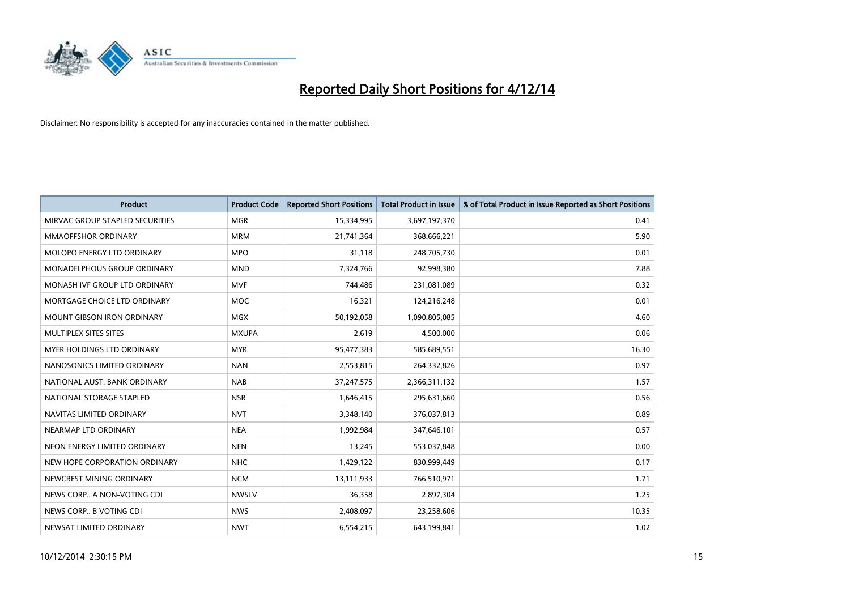

| <b>Product</b>                  | <b>Product Code</b> | <b>Reported Short Positions</b> | <b>Total Product in Issue</b> | % of Total Product in Issue Reported as Short Positions |
|---------------------------------|---------------------|---------------------------------|-------------------------------|---------------------------------------------------------|
| MIRVAC GROUP STAPLED SECURITIES | <b>MGR</b>          | 15,334,995                      | 3,697,197,370                 | 0.41                                                    |
| MMAOFFSHOR ORDINARY             | <b>MRM</b>          | 21,741,364                      | 368,666,221                   | 5.90                                                    |
| MOLOPO ENERGY LTD ORDINARY      | <b>MPO</b>          | 31,118                          | 248,705,730                   | 0.01                                                    |
| MONADELPHOUS GROUP ORDINARY     | <b>MND</b>          | 7,324,766                       | 92,998,380                    | 7.88                                                    |
| MONASH IVF GROUP LTD ORDINARY   | <b>MVF</b>          | 744,486                         | 231,081,089                   | 0.32                                                    |
| MORTGAGE CHOICE LTD ORDINARY    | <b>MOC</b>          | 16,321                          | 124,216,248                   | 0.01                                                    |
| MOUNT GIBSON IRON ORDINARY      | <b>MGX</b>          | 50,192,058                      | 1,090,805,085                 | 4.60                                                    |
| MULTIPLEX SITES SITES           | <b>MXUPA</b>        | 2,619                           | 4,500,000                     | 0.06                                                    |
| MYER HOLDINGS LTD ORDINARY      | <b>MYR</b>          | 95,477,383                      | 585,689,551                   | 16.30                                                   |
| NANOSONICS LIMITED ORDINARY     | <b>NAN</b>          | 2,553,815                       | 264,332,826                   | 0.97                                                    |
| NATIONAL AUST. BANK ORDINARY    | <b>NAB</b>          | 37,247,575                      | 2,366,311,132                 | 1.57                                                    |
| NATIONAL STORAGE STAPLED        | <b>NSR</b>          | 1,646,415                       | 295,631,660                   | 0.56                                                    |
| NAVITAS LIMITED ORDINARY        | <b>NVT</b>          | 3,348,140                       | 376,037,813                   | 0.89                                                    |
| NEARMAP LTD ORDINARY            | <b>NEA</b>          | 1,992,984                       | 347,646,101                   | 0.57                                                    |
| NEON ENERGY LIMITED ORDINARY    | <b>NEN</b>          | 13,245                          | 553,037,848                   | 0.00                                                    |
| NEW HOPE CORPORATION ORDINARY   | <b>NHC</b>          | 1,429,122                       | 830,999,449                   | 0.17                                                    |
| NEWCREST MINING ORDINARY        | <b>NCM</b>          | 13,111,933                      | 766,510,971                   | 1.71                                                    |
| NEWS CORP A NON-VOTING CDI      | <b>NWSLV</b>        | 36,358                          | 2,897,304                     | 1.25                                                    |
| NEWS CORP B VOTING CDI          | <b>NWS</b>          | 2,408,097                       | 23,258,606                    | 10.35                                                   |
| NEWSAT LIMITED ORDINARY         | <b>NWT</b>          | 6,554,215                       | 643,199,841                   | 1.02                                                    |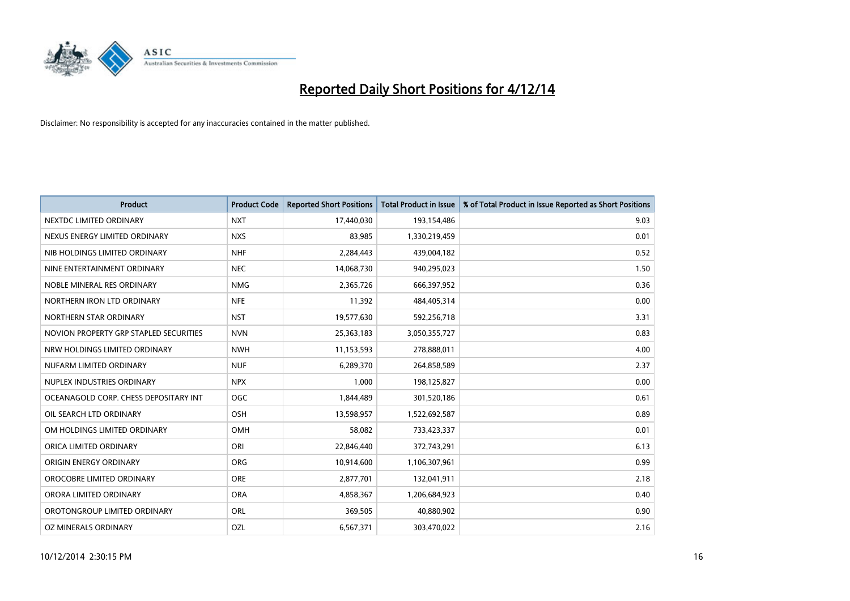

| <b>Product</b>                         | <b>Product Code</b> | <b>Reported Short Positions</b> | <b>Total Product in Issue</b> | % of Total Product in Issue Reported as Short Positions |
|----------------------------------------|---------------------|---------------------------------|-------------------------------|---------------------------------------------------------|
| NEXTDC LIMITED ORDINARY                | <b>NXT</b>          | 17,440,030                      | 193,154,486                   | 9.03                                                    |
| NEXUS ENERGY LIMITED ORDINARY          | <b>NXS</b>          | 83,985                          | 1,330,219,459                 | 0.01                                                    |
| NIB HOLDINGS LIMITED ORDINARY          | <b>NHF</b>          | 2,284,443                       | 439,004,182                   | 0.52                                                    |
| NINE ENTERTAINMENT ORDINARY            | <b>NEC</b>          | 14,068,730                      | 940,295,023                   | 1.50                                                    |
| NOBLE MINERAL RES ORDINARY             | <b>NMG</b>          | 2,365,726                       | 666,397,952                   | 0.36                                                    |
| NORTHERN IRON LTD ORDINARY             | <b>NFE</b>          | 11,392                          | 484,405,314                   | 0.00                                                    |
| NORTHERN STAR ORDINARY                 | <b>NST</b>          | 19,577,630                      | 592,256,718                   | 3.31                                                    |
| NOVION PROPERTY GRP STAPLED SECURITIES | <b>NVN</b>          | 25,363,183                      | 3,050,355,727                 | 0.83                                                    |
| NRW HOLDINGS LIMITED ORDINARY          | <b>NWH</b>          | 11,153,593                      | 278,888,011                   | 4.00                                                    |
| NUFARM LIMITED ORDINARY                | <b>NUF</b>          | 6,289,370                       | 264,858,589                   | 2.37                                                    |
| NUPLEX INDUSTRIES ORDINARY             | <b>NPX</b>          | 1,000                           | 198,125,827                   | 0.00                                                    |
| OCEANAGOLD CORP. CHESS DEPOSITARY INT  | <b>OGC</b>          | 1,844,489                       | 301,520,186                   | 0.61                                                    |
| OIL SEARCH LTD ORDINARY                | OSH                 | 13,598,957                      | 1,522,692,587                 | 0.89                                                    |
| OM HOLDINGS LIMITED ORDINARY           | OMH                 | 58,082                          | 733,423,337                   | 0.01                                                    |
| ORICA LIMITED ORDINARY                 | ORI                 | 22,846,440                      | 372,743,291                   | 6.13                                                    |
| ORIGIN ENERGY ORDINARY                 | <b>ORG</b>          | 10,914,600                      | 1,106,307,961                 | 0.99                                                    |
| OROCOBRE LIMITED ORDINARY              | <b>ORE</b>          | 2,877,701                       | 132,041,911                   | 2.18                                                    |
| ORORA LIMITED ORDINARY                 | <b>ORA</b>          | 4,858,367                       | 1,206,684,923                 | 0.40                                                    |
| OROTONGROUP LIMITED ORDINARY           | ORL                 | 369,505                         | 40,880,902                    | 0.90                                                    |
| OZ MINERALS ORDINARY                   | OZL                 | 6,567,371                       | 303,470,022                   | 2.16                                                    |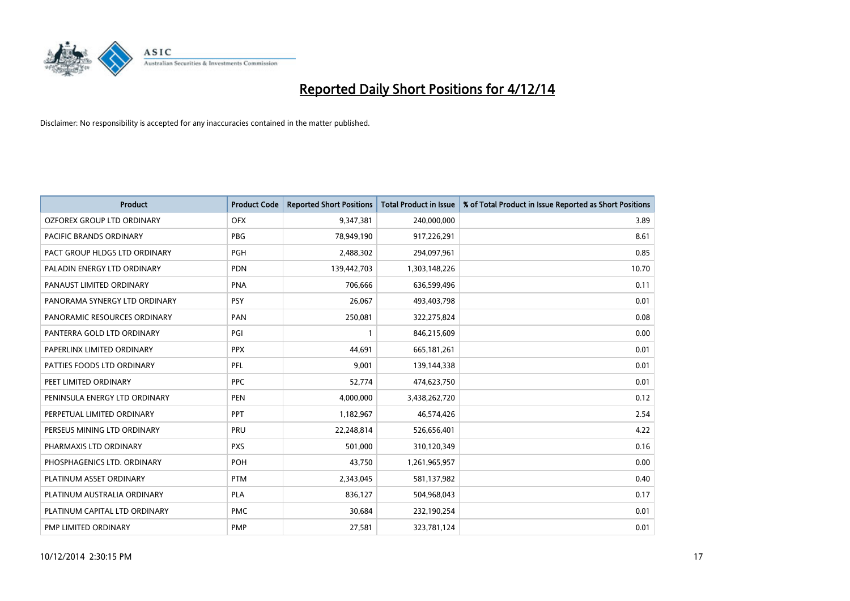

| <b>Product</b>                | <b>Product Code</b> | <b>Reported Short Positions</b> | <b>Total Product in Issue</b> | % of Total Product in Issue Reported as Short Positions |
|-------------------------------|---------------------|---------------------------------|-------------------------------|---------------------------------------------------------|
| OZFOREX GROUP LTD ORDINARY    | <b>OFX</b>          | 9,347,381                       | 240,000,000                   | 3.89                                                    |
| PACIFIC BRANDS ORDINARY       | <b>PBG</b>          | 78,949,190                      | 917,226,291                   | 8.61                                                    |
| PACT GROUP HLDGS LTD ORDINARY | <b>PGH</b>          | 2,488,302                       | 294,097,961                   | 0.85                                                    |
| PALADIN ENERGY LTD ORDINARY   | <b>PDN</b>          | 139,442,703                     | 1,303,148,226                 | 10.70                                                   |
| PANAUST LIMITED ORDINARY      | <b>PNA</b>          | 706,666                         | 636,599,496                   | 0.11                                                    |
| PANORAMA SYNERGY LTD ORDINARY | <b>PSY</b>          | 26,067                          | 493,403,798                   | 0.01                                                    |
| PANORAMIC RESOURCES ORDINARY  | PAN                 | 250,081                         | 322,275,824                   | 0.08                                                    |
| PANTERRA GOLD LTD ORDINARY    | PGI                 | $\mathbf{1}$                    | 846,215,609                   | 0.00                                                    |
| PAPERLINX LIMITED ORDINARY    | <b>PPX</b>          | 44,691                          | 665, 181, 261                 | 0.01                                                    |
| PATTIES FOODS LTD ORDINARY    | PFL                 | 9,001                           | 139,144,338                   | 0.01                                                    |
| PEET LIMITED ORDINARY         | <b>PPC</b>          | 52,774                          | 474,623,750                   | 0.01                                                    |
| PENINSULA ENERGY LTD ORDINARY | <b>PEN</b>          | 4,000,000                       | 3,438,262,720                 | 0.12                                                    |
| PERPETUAL LIMITED ORDINARY    | PPT                 | 1,182,967                       | 46,574,426                    | 2.54                                                    |
| PERSEUS MINING LTD ORDINARY   | PRU                 | 22,248,814                      | 526,656,401                   | 4.22                                                    |
| PHARMAXIS LTD ORDINARY        | <b>PXS</b>          | 501,000                         | 310,120,349                   | 0.16                                                    |
| PHOSPHAGENICS LTD. ORDINARY   | POH                 | 43,750                          | 1,261,965,957                 | 0.00                                                    |
| PLATINUM ASSET ORDINARY       | <b>PTM</b>          | 2,343,045                       | 581,137,982                   | 0.40                                                    |
| PLATINUM AUSTRALIA ORDINARY   | <b>PLA</b>          | 836,127                         | 504,968,043                   | 0.17                                                    |
| PLATINUM CAPITAL LTD ORDINARY | <b>PMC</b>          | 30,684                          | 232,190,254                   | 0.01                                                    |
| PMP LIMITED ORDINARY          | <b>PMP</b>          | 27,581                          | 323,781,124                   | 0.01                                                    |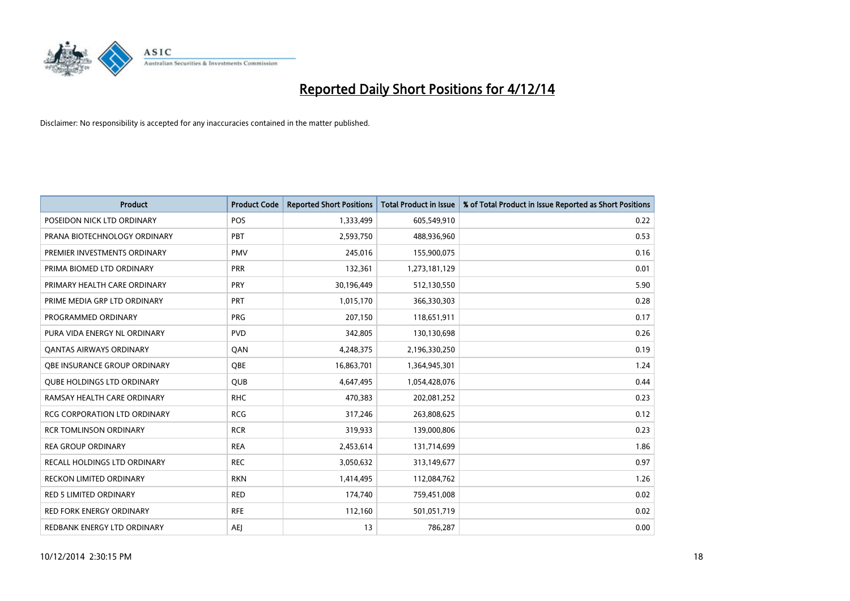

| <b>Product</b>                    | <b>Product Code</b> | <b>Reported Short Positions</b> | <b>Total Product in Issue</b> | % of Total Product in Issue Reported as Short Positions |
|-----------------------------------|---------------------|---------------------------------|-------------------------------|---------------------------------------------------------|
| POSEIDON NICK LTD ORDINARY        | <b>POS</b>          | 1,333,499                       | 605,549,910                   | 0.22                                                    |
| PRANA BIOTECHNOLOGY ORDINARY      | <b>PBT</b>          | 2,593,750                       | 488,936,960                   | 0.53                                                    |
| PREMIER INVESTMENTS ORDINARY      | <b>PMV</b>          | 245,016                         | 155,900,075                   | 0.16                                                    |
| PRIMA BIOMED LTD ORDINARY         | <b>PRR</b>          | 132,361                         | 1,273,181,129                 | 0.01                                                    |
| PRIMARY HEALTH CARE ORDINARY      | <b>PRY</b>          | 30,196,449                      | 512,130,550                   | 5.90                                                    |
| PRIME MEDIA GRP LTD ORDINARY      | PRT                 | 1,015,170                       | 366,330,303                   | 0.28                                                    |
| PROGRAMMED ORDINARY               | <b>PRG</b>          | 207,150                         | 118,651,911                   | 0.17                                                    |
| PURA VIDA ENERGY NL ORDINARY      | <b>PVD</b>          | 342,805                         | 130,130,698                   | 0.26                                                    |
| <b>QANTAS AIRWAYS ORDINARY</b>    | QAN                 | 4,248,375                       | 2,196,330,250                 | 0.19                                                    |
| OBE INSURANCE GROUP ORDINARY      | <b>OBE</b>          | 16,863,701                      | 1,364,945,301                 | 1.24                                                    |
| <b>QUBE HOLDINGS LTD ORDINARY</b> | <b>QUB</b>          | 4,647,495                       | 1,054,428,076                 | 0.44                                                    |
| RAMSAY HEALTH CARE ORDINARY       | <b>RHC</b>          | 470,383                         | 202,081,252                   | 0.23                                                    |
| RCG CORPORATION LTD ORDINARY      | <b>RCG</b>          | 317,246                         | 263,808,625                   | 0.12                                                    |
| <b>RCR TOMLINSON ORDINARY</b>     | <b>RCR</b>          | 319,933                         | 139,000,806                   | 0.23                                                    |
| <b>REA GROUP ORDINARY</b>         | <b>REA</b>          | 2,453,614                       | 131,714,699                   | 1.86                                                    |
| RECALL HOLDINGS LTD ORDINARY      | <b>REC</b>          | 3,050,632                       | 313,149,677                   | 0.97                                                    |
| RECKON LIMITED ORDINARY           | <b>RKN</b>          | 1,414,495                       | 112,084,762                   | 1.26                                                    |
| RED 5 LIMITED ORDINARY            | <b>RED</b>          | 174,740                         | 759,451,008                   | 0.02                                                    |
| <b>RED FORK ENERGY ORDINARY</b>   | <b>RFE</b>          | 112,160                         | 501,051,719                   | 0.02                                                    |
| REDBANK ENERGY LTD ORDINARY       | <b>AEJ</b>          | 13                              | 786,287                       | 0.00                                                    |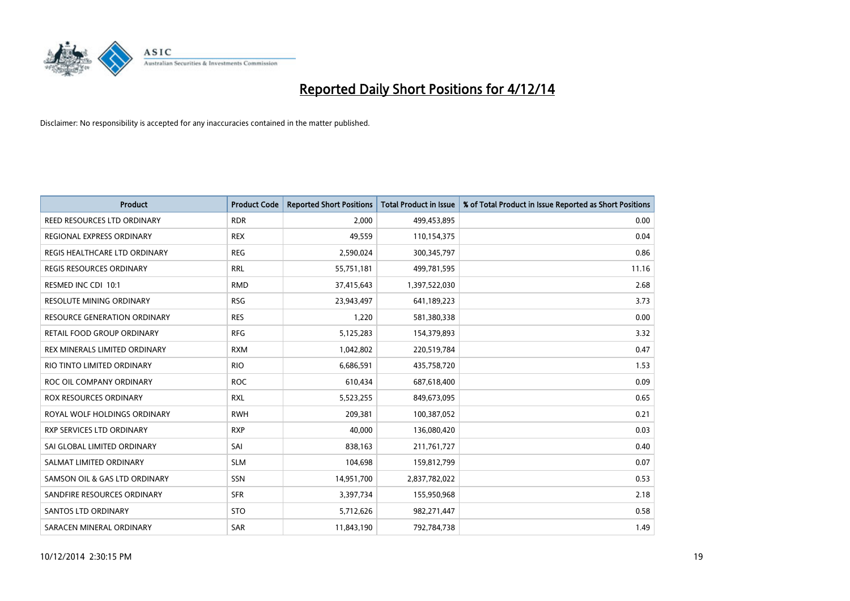

| <b>Product</b>                     | <b>Product Code</b> | <b>Reported Short Positions</b> | <b>Total Product in Issue</b> | % of Total Product in Issue Reported as Short Positions |
|------------------------------------|---------------------|---------------------------------|-------------------------------|---------------------------------------------------------|
| <b>REED RESOURCES LTD ORDINARY</b> | <b>RDR</b>          | 2,000                           | 499,453,895                   | 0.00                                                    |
| <b>REGIONAL EXPRESS ORDINARY</b>   | <b>REX</b>          | 49,559                          | 110,154,375                   | 0.04                                                    |
| REGIS HEALTHCARE LTD ORDINARY      | <b>REG</b>          | 2,590,024                       | 300,345,797                   | 0.86                                                    |
| REGIS RESOURCES ORDINARY           | <b>RRL</b>          | 55,751,181                      | 499,781,595                   | 11.16                                                   |
| RESMED INC CDI 10:1                | <b>RMD</b>          | 37,415,643                      | 1,397,522,030                 | 2.68                                                    |
| RESOLUTE MINING ORDINARY           | <b>RSG</b>          | 23,943,497                      | 641,189,223                   | 3.73                                                    |
| RESOURCE GENERATION ORDINARY       | <b>RES</b>          | 1,220                           | 581,380,338                   | 0.00                                                    |
| RETAIL FOOD GROUP ORDINARY         | <b>RFG</b>          | 5,125,283                       | 154,379,893                   | 3.32                                                    |
| REX MINERALS LIMITED ORDINARY      | <b>RXM</b>          | 1,042,802                       | 220,519,784                   | 0.47                                                    |
| RIO TINTO LIMITED ORDINARY         | <b>RIO</b>          | 6,686,591                       | 435,758,720                   | 1.53                                                    |
| ROC OIL COMPANY ORDINARY           | <b>ROC</b>          | 610,434                         | 687,618,400                   | 0.09                                                    |
| <b>ROX RESOURCES ORDINARY</b>      | <b>RXL</b>          | 5,523,255                       | 849,673,095                   | 0.65                                                    |
| ROYAL WOLF HOLDINGS ORDINARY       | <b>RWH</b>          | 209,381                         | 100,387,052                   | 0.21                                                    |
| RXP SERVICES LTD ORDINARY          | <b>RXP</b>          | 40,000                          | 136,080,420                   | 0.03                                                    |
| SAI GLOBAL LIMITED ORDINARY        | SAI                 | 838,163                         | 211,761,727                   | 0.40                                                    |
| SALMAT LIMITED ORDINARY            | <b>SLM</b>          | 104,698                         | 159,812,799                   | 0.07                                                    |
| SAMSON OIL & GAS LTD ORDINARY      | SSN                 | 14,951,700                      | 2,837,782,022                 | 0.53                                                    |
| SANDFIRE RESOURCES ORDINARY        | <b>SFR</b>          | 3,397,734                       | 155,950,968                   | 2.18                                                    |
| SANTOS LTD ORDINARY                | <b>STO</b>          | 5,712,626                       | 982,271,447                   | 0.58                                                    |
| SARACEN MINERAL ORDINARY           | SAR                 | 11,843,190                      | 792,784,738                   | 1.49                                                    |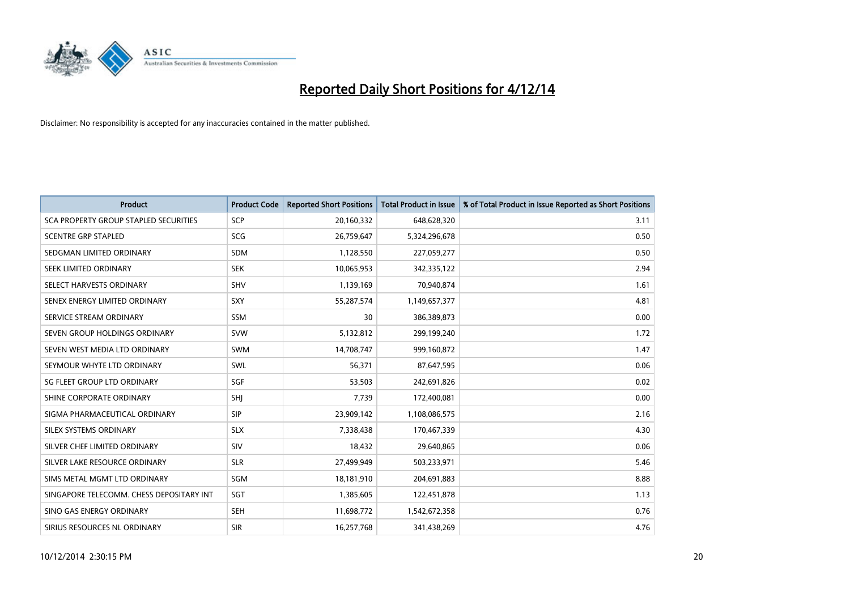

| <b>Product</b>                           | <b>Product Code</b> | <b>Reported Short Positions</b> | <b>Total Product in Issue</b> | % of Total Product in Issue Reported as Short Positions |
|------------------------------------------|---------------------|---------------------------------|-------------------------------|---------------------------------------------------------|
| SCA PROPERTY GROUP STAPLED SECURITIES    | <b>SCP</b>          | 20,160,332                      | 648,628,320                   | 3.11                                                    |
| <b>SCENTRE GRP STAPLED</b>               | SCG                 | 26,759,647                      | 5,324,296,678                 | 0.50                                                    |
| SEDGMAN LIMITED ORDINARY                 | <b>SDM</b>          | 1,128,550                       | 227,059,277                   | 0.50                                                    |
| SEEK LIMITED ORDINARY                    | <b>SEK</b>          | 10,065,953                      | 342,335,122                   | 2.94                                                    |
| SELECT HARVESTS ORDINARY                 | SHV                 | 1,139,169                       | 70.940.874                    | 1.61                                                    |
| SENEX ENERGY LIMITED ORDINARY            | <b>SXY</b>          | 55,287,574                      | 1,149,657,377                 | 4.81                                                    |
| SERVICE STREAM ORDINARY                  | <b>SSM</b>          | 30                              | 386,389,873                   | 0.00                                                    |
| SEVEN GROUP HOLDINGS ORDINARY            | <b>SVW</b>          | 5,132,812                       | 299,199,240                   | 1.72                                                    |
| SEVEN WEST MEDIA LTD ORDINARY            | <b>SWM</b>          | 14,708,747                      | 999,160,872                   | 1.47                                                    |
| SEYMOUR WHYTE LTD ORDINARY               | SWL                 | 56,371                          | 87,647,595                    | 0.06                                                    |
| SG FLEET GROUP LTD ORDINARY              | SGF                 | 53,503                          | 242,691,826                   | 0.02                                                    |
| SHINE CORPORATE ORDINARY                 | SHJ                 | 7,739                           | 172,400,081                   | 0.00                                                    |
| SIGMA PHARMACEUTICAL ORDINARY            | <b>SIP</b>          | 23,909,142                      | 1,108,086,575                 | 2.16                                                    |
| SILEX SYSTEMS ORDINARY                   | <b>SLX</b>          | 7,338,438                       | 170,467,339                   | 4.30                                                    |
| SILVER CHEF LIMITED ORDINARY             | SIV                 | 18,432                          | 29,640,865                    | 0.06                                                    |
| SILVER LAKE RESOURCE ORDINARY            | <b>SLR</b>          | 27,499,949                      | 503,233,971                   | 5.46                                                    |
| SIMS METAL MGMT LTD ORDINARY             | SGM                 | 18,181,910                      | 204,691,883                   | 8.88                                                    |
| SINGAPORE TELECOMM. CHESS DEPOSITARY INT | SGT                 | 1,385,605                       | 122,451,878                   | 1.13                                                    |
| SINO GAS ENERGY ORDINARY                 | <b>SEH</b>          | 11,698,772                      | 1,542,672,358                 | 0.76                                                    |
| SIRIUS RESOURCES NL ORDINARY             | <b>SIR</b>          | 16,257,768                      | 341,438,269                   | 4.76                                                    |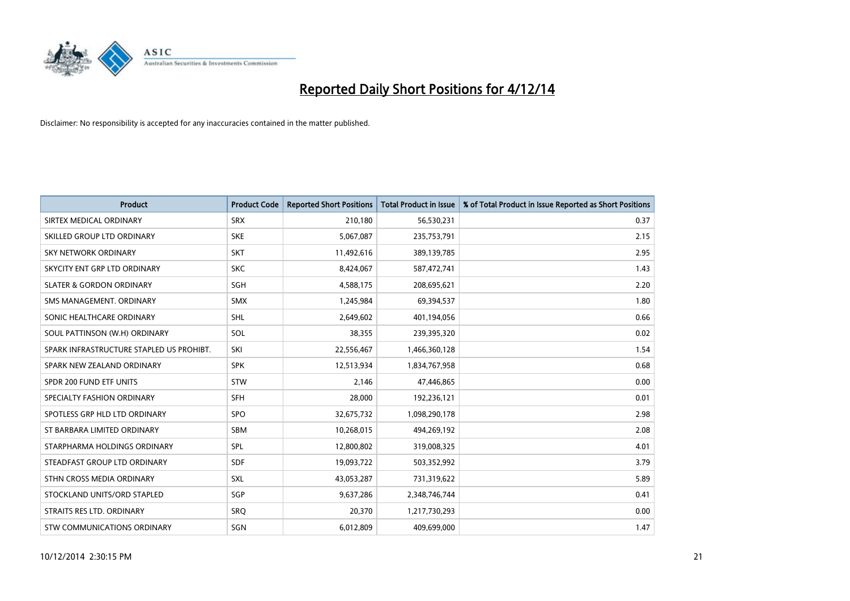

| <b>Product</b>                           | <b>Product Code</b> | <b>Reported Short Positions</b> | <b>Total Product in Issue</b> | % of Total Product in Issue Reported as Short Positions |
|------------------------------------------|---------------------|---------------------------------|-------------------------------|---------------------------------------------------------|
| SIRTEX MEDICAL ORDINARY                  | <b>SRX</b>          | 210,180                         | 56,530,231                    | 0.37                                                    |
| SKILLED GROUP LTD ORDINARY               | <b>SKE</b>          | 5,067,087                       | 235,753,791                   | 2.15                                                    |
| <b>SKY NETWORK ORDINARY</b>              | <b>SKT</b>          | 11,492,616                      | 389,139,785                   | 2.95                                                    |
| SKYCITY ENT GRP LTD ORDINARY             | <b>SKC</b>          | 8,424,067                       | 587,472,741                   | 1.43                                                    |
| <b>SLATER &amp; GORDON ORDINARY</b>      | SGH                 | 4,588,175                       | 208,695,621                   | 2.20                                                    |
| SMS MANAGEMENT, ORDINARY                 | <b>SMX</b>          | 1,245,984                       | 69,394,537                    | 1.80                                                    |
| SONIC HEALTHCARE ORDINARY                | <b>SHL</b>          | 2,649,602                       | 401,194,056                   | 0.66                                                    |
| SOUL PATTINSON (W.H) ORDINARY            | SOL                 | 38,355                          | 239,395,320                   | 0.02                                                    |
| SPARK INFRASTRUCTURE STAPLED US PROHIBT. | SKI                 | 22,556,467                      | 1,466,360,128                 | 1.54                                                    |
| SPARK NEW ZEALAND ORDINARY               | <b>SPK</b>          | 12,513,934                      | 1,834,767,958                 | 0.68                                                    |
| SPDR 200 FUND ETF UNITS                  | <b>STW</b>          | 2,146                           | 47,446,865                    | 0.00                                                    |
| SPECIALTY FASHION ORDINARY               | <b>SFH</b>          | 28,000                          | 192,236,121                   | 0.01                                                    |
| SPOTLESS GRP HLD LTD ORDINARY            | <b>SPO</b>          | 32,675,732                      | 1,098,290,178                 | 2.98                                                    |
| ST BARBARA LIMITED ORDINARY              | SBM                 | 10,268,015                      | 494,269,192                   | 2.08                                                    |
| STARPHARMA HOLDINGS ORDINARY             | SPL                 | 12,800,802                      | 319,008,325                   | 4.01                                                    |
| STEADFAST GROUP LTD ORDINARY             | SDF                 | 19,093,722                      | 503,352,992                   | 3.79                                                    |
| STHN CROSS MEDIA ORDINARY                | SXL                 | 43,053,287                      | 731,319,622                   | 5.89                                                    |
| STOCKLAND UNITS/ORD STAPLED              | SGP                 | 9,637,286                       | 2,348,746,744                 | 0.41                                                    |
| STRAITS RES LTD. ORDINARY                | <b>SRO</b>          | 20,370                          | 1,217,730,293                 | 0.00                                                    |
| STW COMMUNICATIONS ORDINARY              | SGN                 | 6,012,809                       | 409,699,000                   | 1.47                                                    |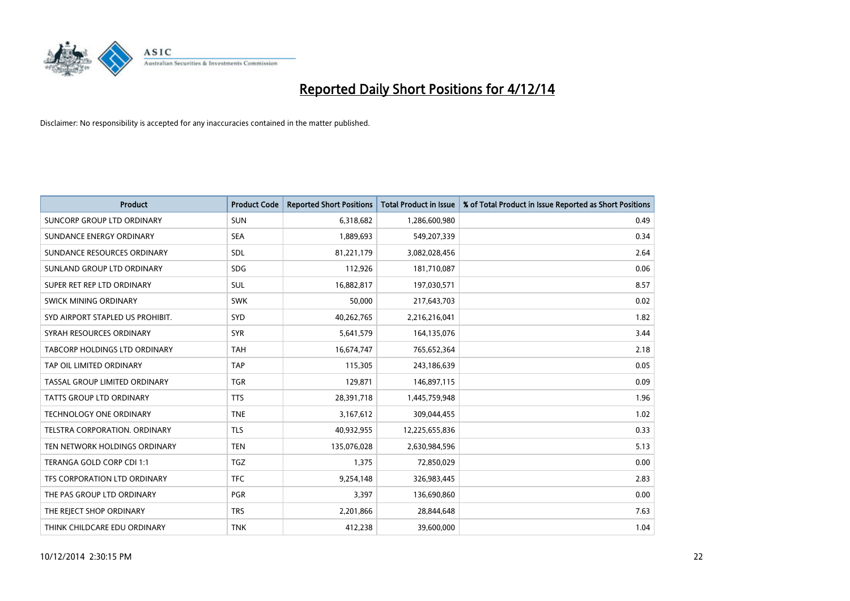

| <b>Product</b>                    | <b>Product Code</b> | <b>Reported Short Positions</b> | <b>Total Product in Issue</b> | % of Total Product in Issue Reported as Short Positions |
|-----------------------------------|---------------------|---------------------------------|-------------------------------|---------------------------------------------------------|
| <b>SUNCORP GROUP LTD ORDINARY</b> | <b>SUN</b>          | 6,318,682                       | 1,286,600,980                 | 0.49                                                    |
| SUNDANCE ENERGY ORDINARY          | <b>SEA</b>          | 1,889,693                       | 549,207,339                   | 0.34                                                    |
| SUNDANCE RESOURCES ORDINARY       | <b>SDL</b>          | 81,221,179                      | 3,082,028,456                 | 2.64                                                    |
| SUNLAND GROUP LTD ORDINARY        | <b>SDG</b>          | 112,926                         | 181,710,087                   | 0.06                                                    |
| SUPER RET REP LTD ORDINARY        | SUL                 | 16,882,817                      | 197,030,571                   | 8.57                                                    |
| SWICK MINING ORDINARY             | <b>SWK</b>          | 50,000                          | 217,643,703                   | 0.02                                                    |
| SYD AIRPORT STAPLED US PROHIBIT.  | <b>SYD</b>          | 40,262,765                      | 2,216,216,041                 | 1.82                                                    |
| SYRAH RESOURCES ORDINARY          | <b>SYR</b>          | 5,641,579                       | 164,135,076                   | 3.44                                                    |
| TABCORP HOLDINGS LTD ORDINARY     | <b>TAH</b>          | 16,674,747                      | 765,652,364                   | 2.18                                                    |
| TAP OIL LIMITED ORDINARY          | <b>TAP</b>          | 115,305                         | 243,186,639                   | 0.05                                                    |
| TASSAL GROUP LIMITED ORDINARY     | <b>TGR</b>          | 129,871                         | 146,897,115                   | 0.09                                                    |
| <b>TATTS GROUP LTD ORDINARY</b>   | <b>TTS</b>          | 28,391,718                      | 1,445,759,948                 | 1.96                                                    |
| TECHNOLOGY ONE ORDINARY           | <b>TNE</b>          | 3,167,612                       | 309,044,455                   | 1.02                                                    |
| TELSTRA CORPORATION, ORDINARY     | <b>TLS</b>          | 40,932,955                      | 12,225,655,836                | 0.33                                                    |
| TEN NETWORK HOLDINGS ORDINARY     | <b>TEN</b>          | 135,076,028                     | 2,630,984,596                 | 5.13                                                    |
| TERANGA GOLD CORP CDI 1:1         | <b>TGZ</b>          | 1,375                           | 72,850,029                    | 0.00                                                    |
| TFS CORPORATION LTD ORDINARY      | <b>TFC</b>          | 9,254,148                       | 326,983,445                   | 2.83                                                    |
| THE PAS GROUP LTD ORDINARY        | <b>PGR</b>          | 3,397                           | 136,690,860                   | 0.00                                                    |
| THE REJECT SHOP ORDINARY          | <b>TRS</b>          | 2,201,866                       | 28,844,648                    | 7.63                                                    |
| THINK CHILDCARE EDU ORDINARY      | <b>TNK</b>          | 412,238                         | 39,600,000                    | 1.04                                                    |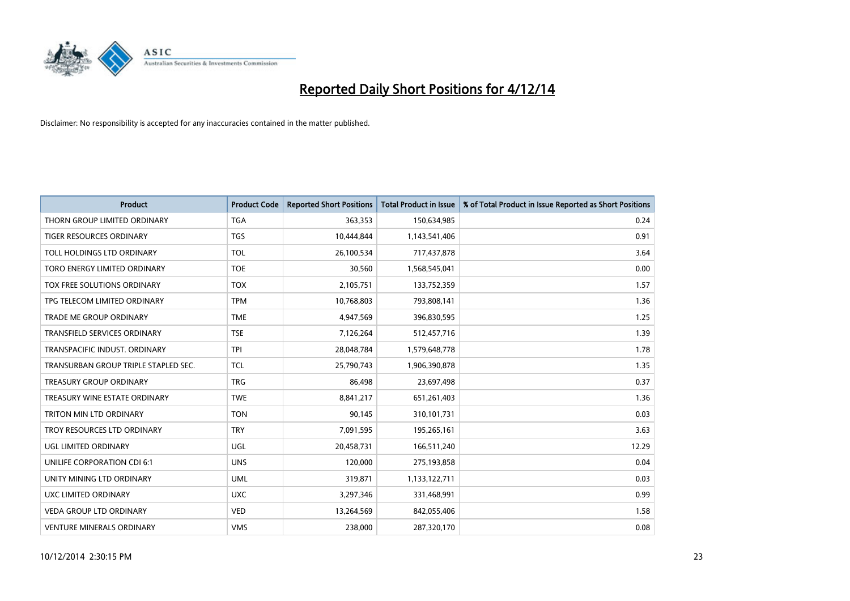

| <b>Product</b>                       | <b>Product Code</b> | <b>Reported Short Positions</b> | <b>Total Product in Issue</b> | % of Total Product in Issue Reported as Short Positions |
|--------------------------------------|---------------------|---------------------------------|-------------------------------|---------------------------------------------------------|
| THORN GROUP LIMITED ORDINARY         | <b>TGA</b>          | 363,353                         | 150,634,985                   | 0.24                                                    |
| TIGER RESOURCES ORDINARY             | <b>TGS</b>          | 10,444,844                      | 1,143,541,406                 | 0.91                                                    |
| TOLL HOLDINGS LTD ORDINARY           | <b>TOL</b>          | 26,100,534                      | 717,437,878                   | 3.64                                                    |
| TORO ENERGY LIMITED ORDINARY         | <b>TOE</b>          | 30,560                          | 1,568,545,041                 | 0.00                                                    |
| TOX FREE SOLUTIONS ORDINARY          | <b>TOX</b>          | 2,105,751                       | 133,752,359                   | 1.57                                                    |
| TPG TELECOM LIMITED ORDINARY         | <b>TPM</b>          | 10,768,803                      | 793,808,141                   | 1.36                                                    |
| TRADE ME GROUP ORDINARY              | <b>TME</b>          | 4,947,569                       | 396,830,595                   | 1.25                                                    |
| TRANSFIELD SERVICES ORDINARY         | <b>TSE</b>          | 7,126,264                       | 512,457,716                   | 1.39                                                    |
| TRANSPACIFIC INDUST, ORDINARY        | <b>TPI</b>          | 28,048,784                      | 1,579,648,778                 | 1.78                                                    |
| TRANSURBAN GROUP TRIPLE STAPLED SEC. | <b>TCL</b>          | 25,790,743                      | 1,906,390,878                 | 1.35                                                    |
| TREASURY GROUP ORDINARY              | <b>TRG</b>          | 86,498                          | 23,697,498                    | 0.37                                                    |
| TREASURY WINE ESTATE ORDINARY        | <b>TWE</b>          | 8,841,217                       | 651,261,403                   | 1.36                                                    |
| TRITON MIN LTD ORDINARY              | <b>TON</b>          | 90,145                          | 310,101,731                   | 0.03                                                    |
| TROY RESOURCES LTD ORDINARY          | <b>TRY</b>          | 7,091,595                       | 195,265,161                   | 3.63                                                    |
| UGL LIMITED ORDINARY                 | UGL                 | 20,458,731                      | 166,511,240                   | 12.29                                                   |
| UNILIFE CORPORATION CDI 6:1          | <b>UNS</b>          | 120,000                         | 275,193,858                   | 0.04                                                    |
| UNITY MINING LTD ORDINARY            | <b>UML</b>          | 319,871                         | 1,133,122,711                 | 0.03                                                    |
| UXC LIMITED ORDINARY                 | <b>UXC</b>          | 3,297,346                       | 331,468,991                   | 0.99                                                    |
| <b>VEDA GROUP LTD ORDINARY</b>       | <b>VED</b>          | 13,264,569                      | 842,055,406                   | 1.58                                                    |
| <b>VENTURE MINERALS ORDINARY</b>     | <b>VMS</b>          | 238,000                         | 287,320,170                   | 0.08                                                    |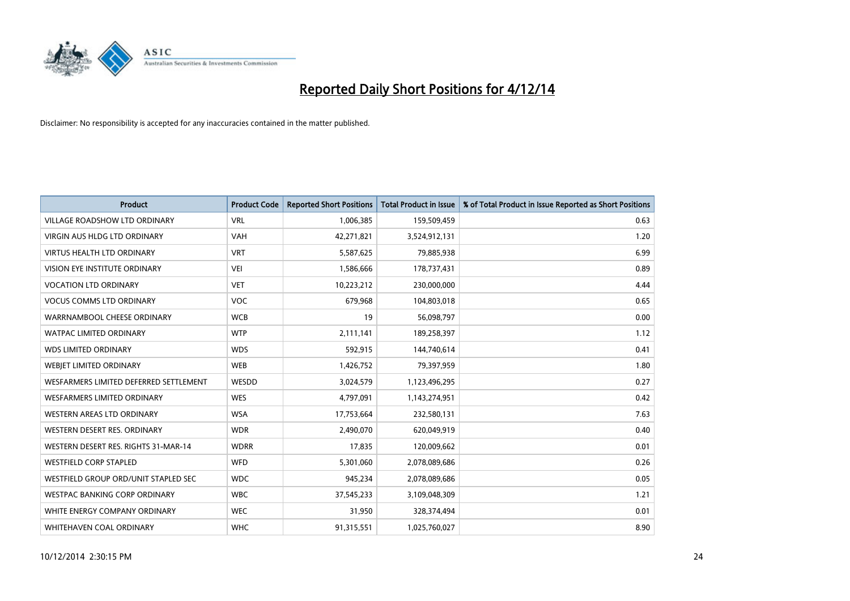

| <b>Product</b>                         | <b>Product Code</b> | <b>Reported Short Positions</b> | <b>Total Product in Issue</b> | % of Total Product in Issue Reported as Short Positions |
|----------------------------------------|---------------------|---------------------------------|-------------------------------|---------------------------------------------------------|
| <b>VILLAGE ROADSHOW LTD ORDINARY</b>   | <b>VRL</b>          | 1,006,385                       | 159,509,459                   | 0.63                                                    |
| <b>VIRGIN AUS HLDG LTD ORDINARY</b>    | <b>VAH</b>          | 42,271,821                      | 3,524,912,131                 | 1.20                                                    |
| <b>VIRTUS HEALTH LTD ORDINARY</b>      | <b>VRT</b>          | 5,587,625                       | 79,885,938                    | 6.99                                                    |
| <b>VISION EYE INSTITUTE ORDINARY</b>   | <b>VEI</b>          | 1,586,666                       | 178,737,431                   | 0.89                                                    |
| <b>VOCATION LTD ORDINARY</b>           | <b>VET</b>          | 10,223,212                      | 230,000,000                   | 4.44                                                    |
| <b>VOCUS COMMS LTD ORDINARY</b>        | <b>VOC</b>          | 679,968                         | 104,803,018                   | 0.65                                                    |
| WARRNAMBOOL CHEESE ORDINARY            | <b>WCB</b>          | 19                              | 56,098,797                    | 0.00                                                    |
| <b>WATPAC LIMITED ORDINARY</b>         | <b>WTP</b>          | 2,111,141                       | 189,258,397                   | 1.12                                                    |
| <b>WDS LIMITED ORDINARY</b>            | <b>WDS</b>          | 592,915                         | 144,740,614                   | 0.41                                                    |
| WEBIET LIMITED ORDINARY                | <b>WEB</b>          | 1,426,752                       | 79,397,959                    | 1.80                                                    |
| WESFARMERS LIMITED DEFERRED SETTLEMENT | <b>WESDD</b>        | 3,024,579                       | 1,123,496,295                 | 0.27                                                    |
| <b>WESFARMERS LIMITED ORDINARY</b>     | <b>WES</b>          | 4,797,091                       | 1,143,274,951                 | 0.42                                                    |
| <b>WESTERN AREAS LTD ORDINARY</b>      | <b>WSA</b>          | 17,753,664                      | 232,580,131                   | 7.63                                                    |
| WESTERN DESERT RES. ORDINARY           | <b>WDR</b>          | 2,490,070                       | 620,049,919                   | 0.40                                                    |
| WESTERN DESERT RES. RIGHTS 31-MAR-14   | <b>WDRR</b>         | 17,835                          | 120,009,662                   | 0.01                                                    |
| <b>WESTFIELD CORP STAPLED</b>          | <b>WFD</b>          | 5,301,060                       | 2,078,089,686                 | 0.26                                                    |
| WESTFIELD GROUP ORD/UNIT STAPLED SEC   | <b>WDC</b>          | 945,234                         | 2,078,089,686                 | 0.05                                                    |
| <b>WESTPAC BANKING CORP ORDINARY</b>   | <b>WBC</b>          | 37,545,233                      | 3,109,048,309                 | 1.21                                                    |
| WHITE ENERGY COMPANY ORDINARY          | <b>WEC</b>          | 31,950                          | 328,374,494                   | 0.01                                                    |
| WHITEHAVEN COAL ORDINARY               | <b>WHC</b>          | 91,315,551                      | 1,025,760,027                 | 8.90                                                    |